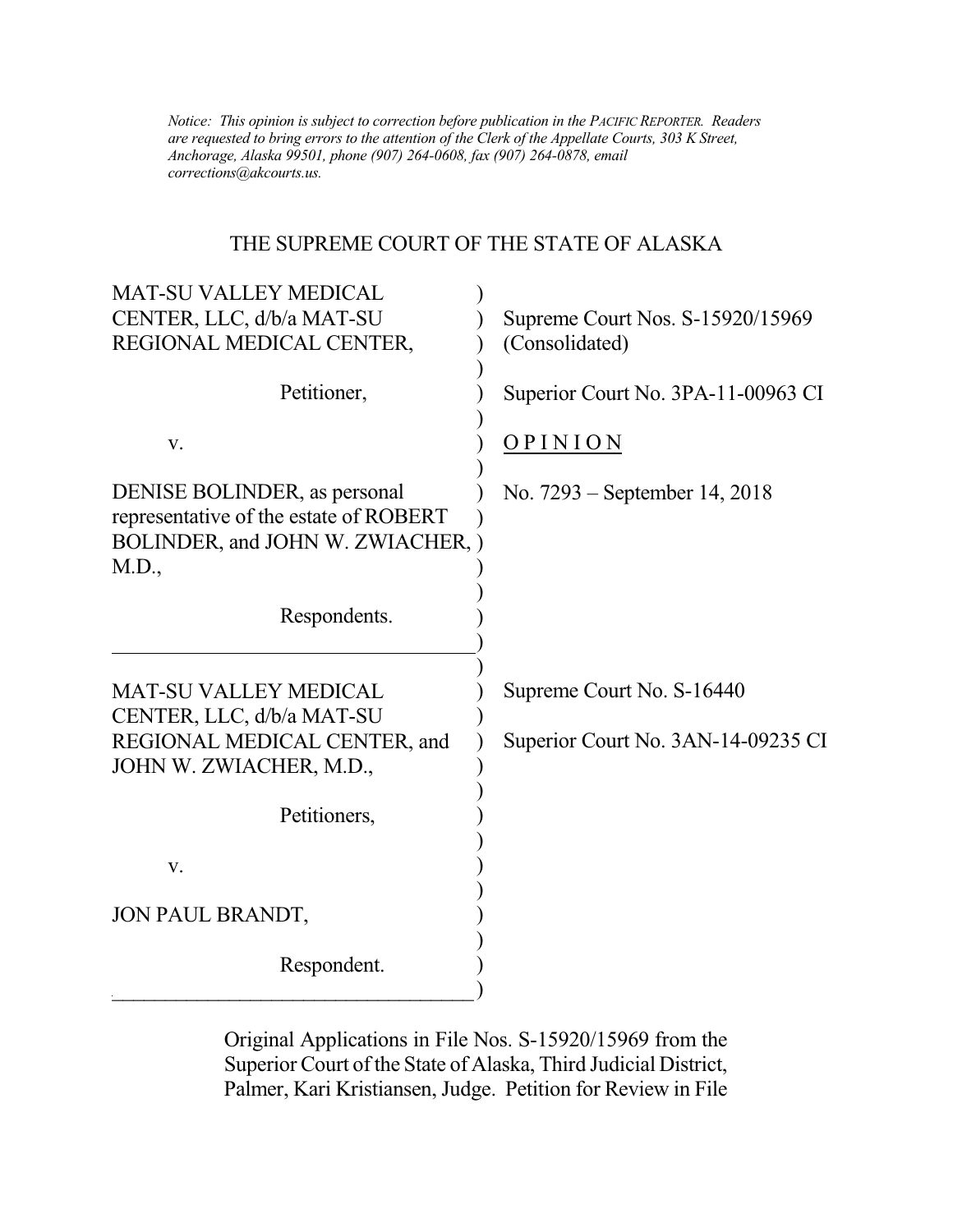*Notice: This opinion is subject to correction before publication in the PACIFIC REPORTER. Readers are requested to bring errors to the attention of the Clerk of the Appellate Courts, 303 K Street, Anchorage, Alaska 99501, phone (907) 264-0608, fax (907) 264-0878, email corrections@akcourts.us.* 

## THE SUPREME COURT OF THE STATE OF ALASKA

| <b>MAT-SU VALLEY MEDICAL</b><br>CENTER, LLC, d/b/a MAT-SU<br>REGIONAL MEDICAL CENTER,                                | Supreme Court Nos. S-15920/15969<br>(Consolidated)              |
|----------------------------------------------------------------------------------------------------------------------|-----------------------------------------------------------------|
| Petitioner,                                                                                                          | Superior Court No. 3PA-11-00963 CI                              |
| V.                                                                                                                   | <b>OPINION</b>                                                  |
| DENISE BOLINDER, as personal<br>representative of the estate of ROBERT<br>BOLINDER, and JOHN W. ZWIACHER, )<br>M.D., | No. 7293 – September 14, 2018                                   |
| Respondents.                                                                                                         |                                                                 |
| <b>MAT-SU VALLEY MEDICAL</b><br>CENTER, LLC, d/b/a MAT-SU<br>REGIONAL MEDICAL CENTER, and<br>JOHN W. ZWIACHER, M.D., | Supreme Court No. S-16440<br>Superior Court No. 3AN-14-09235 CI |
| Petitioners,                                                                                                         |                                                                 |
| V.                                                                                                                   |                                                                 |
| JON PAUL BRANDT,                                                                                                     |                                                                 |
| Respondent.                                                                                                          |                                                                 |

Original Applications in File Nos. S-15920/15969 from the Superior Court of the State of Alaska, Third Judicial District, Palmer, Kari Kristiansen, Judge. Petition for Review in File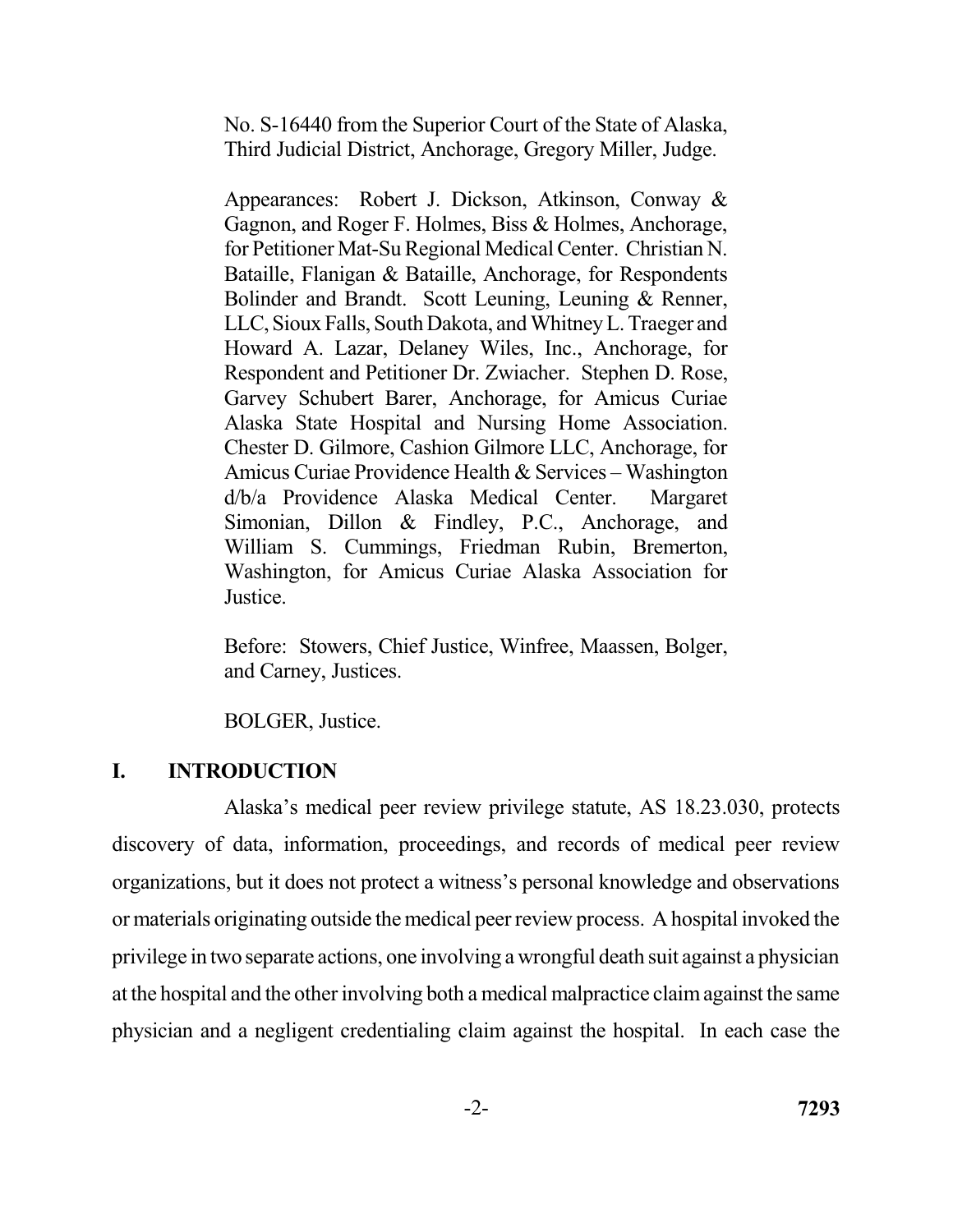No. S-16440 from the Superior Court of the State of Alaska, Third Judicial District, Anchorage, Gregory Miller, Judge.

 Appearances: Robert J. Dickson, Atkinson, Conway & Gagnon, and Roger F. Holmes, Biss & Holmes, Anchorage, for Petitioner Mat-Su Regional Medical Center. Christian N. Bataille, Flanigan & Bataille, Anchorage, for Respondents Bolinder and Brandt. Scott Leuning, Leuning & Renner, LLC, Sioux Falls, South Dakota, and Whitney L. Traeger and Howard A. Lazar, Delaney Wiles, Inc., Anchorage, for Respondent and Petitioner Dr. Zwiacher. Stephen D. Rose, Garvey Schubert Barer, Anchorage, for Amicus Curiae Alaska State Hospital and Nursing Home Association. Chester D. Gilmore, Cashion Gilmore LLC, Anchorage, for Amicus Curiae Providence Health & Services – Washington d/b/a Providence Alaska Medical Center. Margaret Simonian, Dillon & Findley, P.C., Anchorage, and William S. Cummings, Friedman Rubin, Bremerton, Washington, for Amicus Curiae Alaska Association for Justice.

 Before: Stowers, Chief Justice, Winfree, Maassen, Bolger, and Carney, Justices.

BOLGER, Justice.

## **I. INTRODUCTION**

 Alaska's medical peer review privilege statute, AS 18.23.030, protects discovery of data, information, proceedings, and records of medical peer review organizations, but it does not protect a witness's personal knowledge and observations or materials originating outside the medical peer review process. A hospital invoked the privilege in two separate actions, one involving a wrongful death suit against a physician at the hospital and the other involving both a medical malpractice claim against the same physician and a negligent credentialing claim against the hospital. In each case the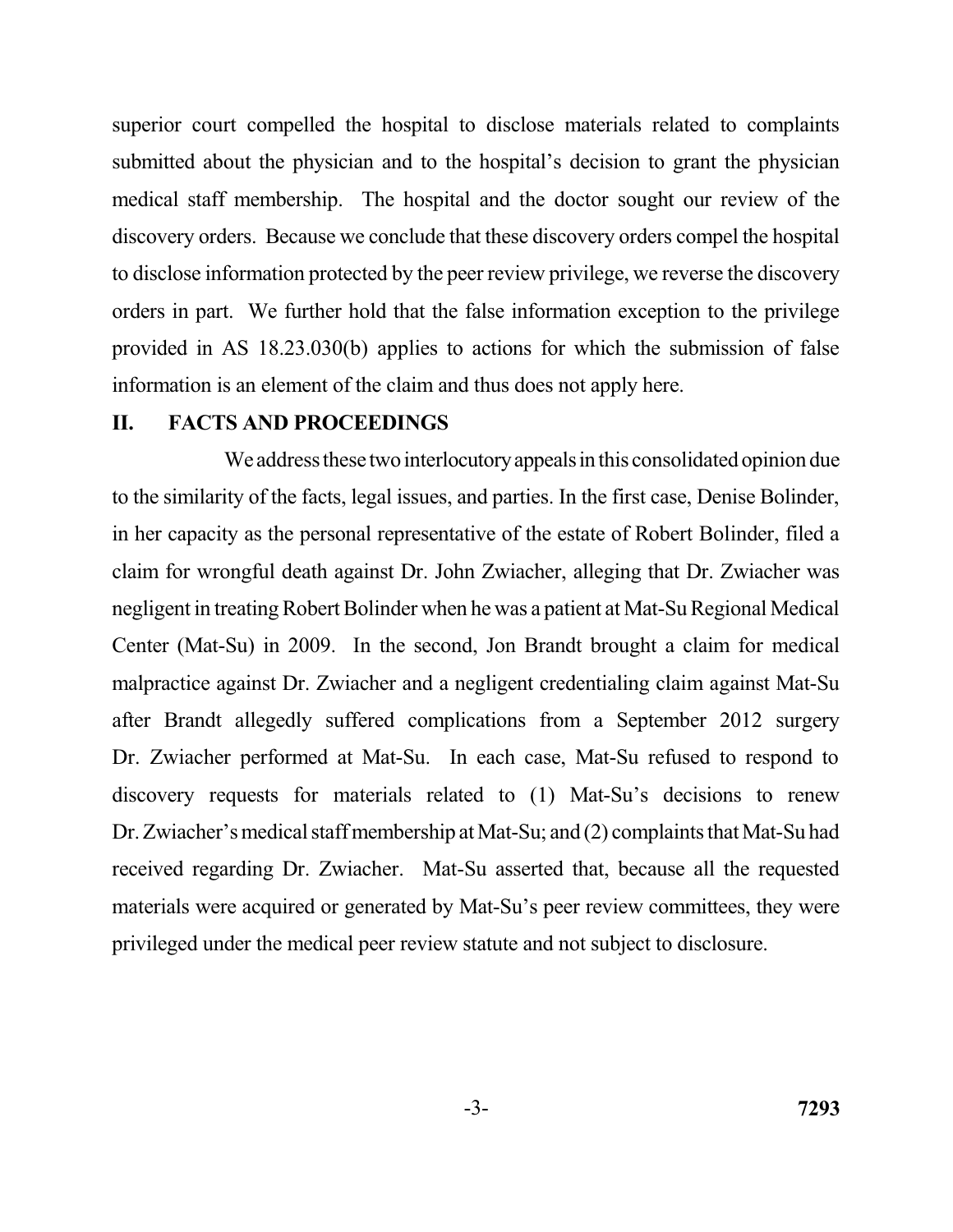superior court compelled the hospital to disclose materials related to complaints submitted about the physician and to the hospital's decision to grant the physician medical staff membership. The hospital and the doctor sought our review of the discovery orders. Because we conclude that these discovery orders compel the hospital to disclose information protected by the peer review privilege, we reverse the discovery orders in part. We further hold that the false information exception to the privilege provided in AS 18.23.030(b) applies to actions for which the submission of false information is an element of the claim and thus does not apply here.

#### **II. FACTS AND PROCEEDINGS**

We address these two interlocutory appeals in this consolidated opinion due to the similarity of the facts, legal issues, and parties. In the first case, Denise Bolinder, in her capacity as the personal representative of the estate of Robert Bolinder, filed a claim for wrongful death against Dr. John Zwiacher, alleging that Dr. Zwiacher was negligent in treating Robert Bolinder when he was a patient at Mat-Su Regional Medical Center (Mat-Su) in 2009. In the second, Jon Brandt brought a claim for medical malpractice against Dr. Zwiacher and a negligent credentialing claim against Mat-Su after Brandt allegedly suffered complications from a September 2012 surgery Dr. Zwiacher performed at Mat-Su. In each case, Mat-Su refused to respond to discovery requests for materials related to (1) Mat-Su's decisions to renew Dr. Zwiacher's medical staff membership at Mat-Su; and (2) complaints that Mat-Su had received regarding Dr. Zwiacher. Mat-Su asserted that, because all the requested materials were acquired or generated by Mat-Su's peer review committees, they were privileged under the medical peer review statute and not subject to disclosure.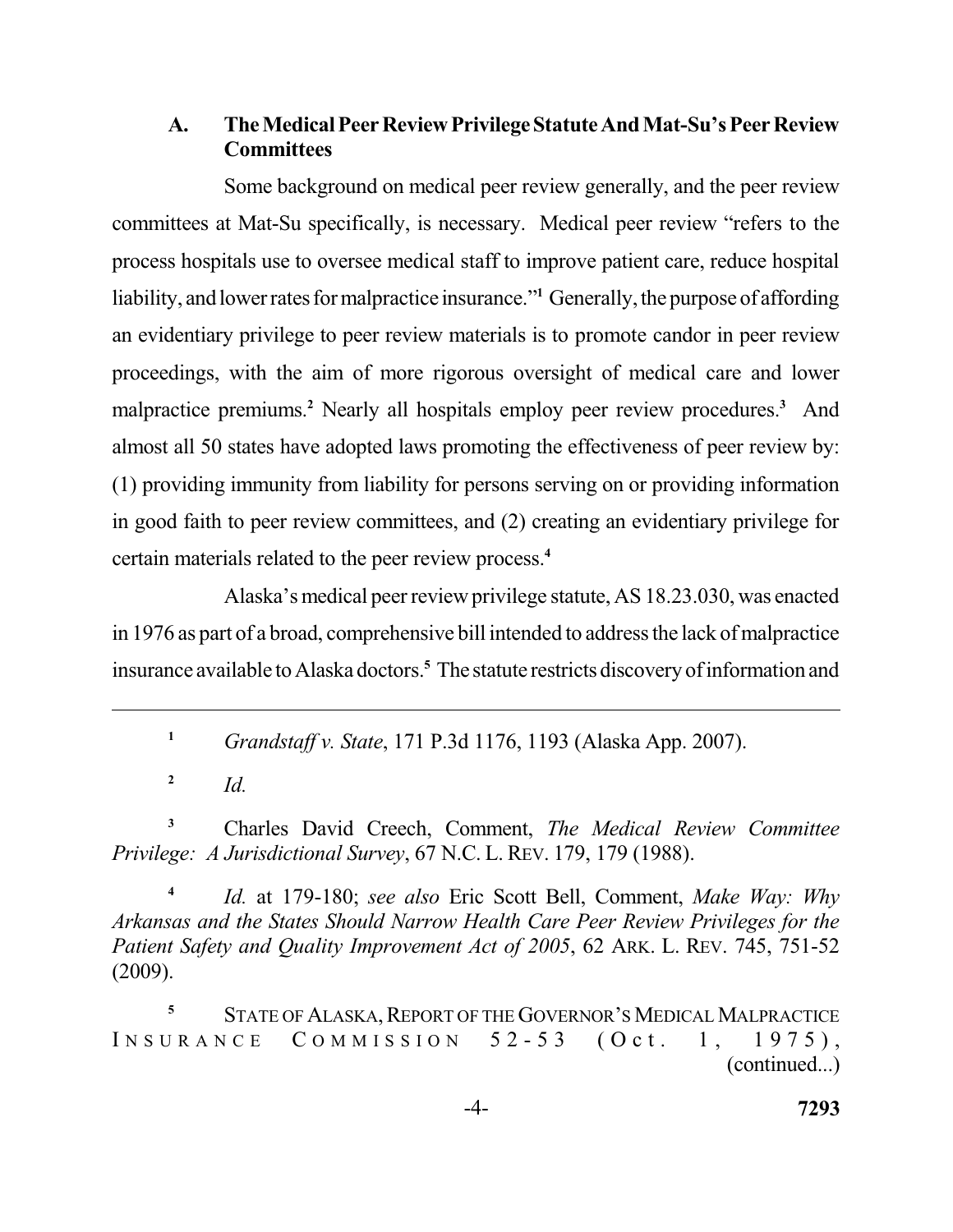## **A. The Medical Peer Review PrivilegeStatuteAnd Mat-Su's Peer Review Committees**

 Some background on medical peer review generally, and the peer review committees at Mat-Su specifically, is necessary. Medical peer review "refers to the process hospitals use to oversee medical staff to improve patient care, reduce hospital liability, and lower rates for malpractice insurance."<sup>1</sup> Generally, the purpose of affording an evidentiary privilege to peer review materials is to promote candor in peer review proceedings, with the aim of more rigorous oversight of medical care and lower malpractice premiums.<sup>2</sup> Nearly all hospitals employ peer review procedures.<sup>3</sup> And almost all 50 states have adopted laws promoting the effectiveness of peer review by: in good faith to peer review committees, and (2) creating an evidentiary privilege for certain materials related to the peer review process.**<sup>4</sup>** (1) providing immunity from liability for persons serving on or providing information

 Alaska's medical peer review privilege statute, AS 18.23.030, was enacted in 1976 as part of a broad, comprehensive bill intended to address the lack of malpractice insurance available to Alaska doctors.**<sup>5</sup>**Thestatute restricts discovery of information and

**<sup>1</sup>***Grandstaff v. State*, 171 P.3d 1176, 1193 (Alaska App. 2007).

2  $Id$ 

**<sup>3</sup>**Charles David Creech, Comment, *The Medical Review Committee Privilege: A Jurisdictional Survey*, 67 N.C. L. REV. 179, 179 (1988).

**<sup>4</sup>***Id.* at 179-180; *see also* Eric Scott Bell, Comment, *Make Way: Why Arkansas and the States Should Narrow Health Care Peer Review Privileges for the Patient Safety and Quality Improvement Act of 2005*, 62 ARK. L. REV. 745, 751-52 (2009).

**<sup>5</sup>**STATE OF ALASKA, REPORT OF THE GOVERNOR'S MEDICAL MALPRACTICE INSURANCE COMMISSION  $52-53$  (Oct. 1, 1975), (continued...)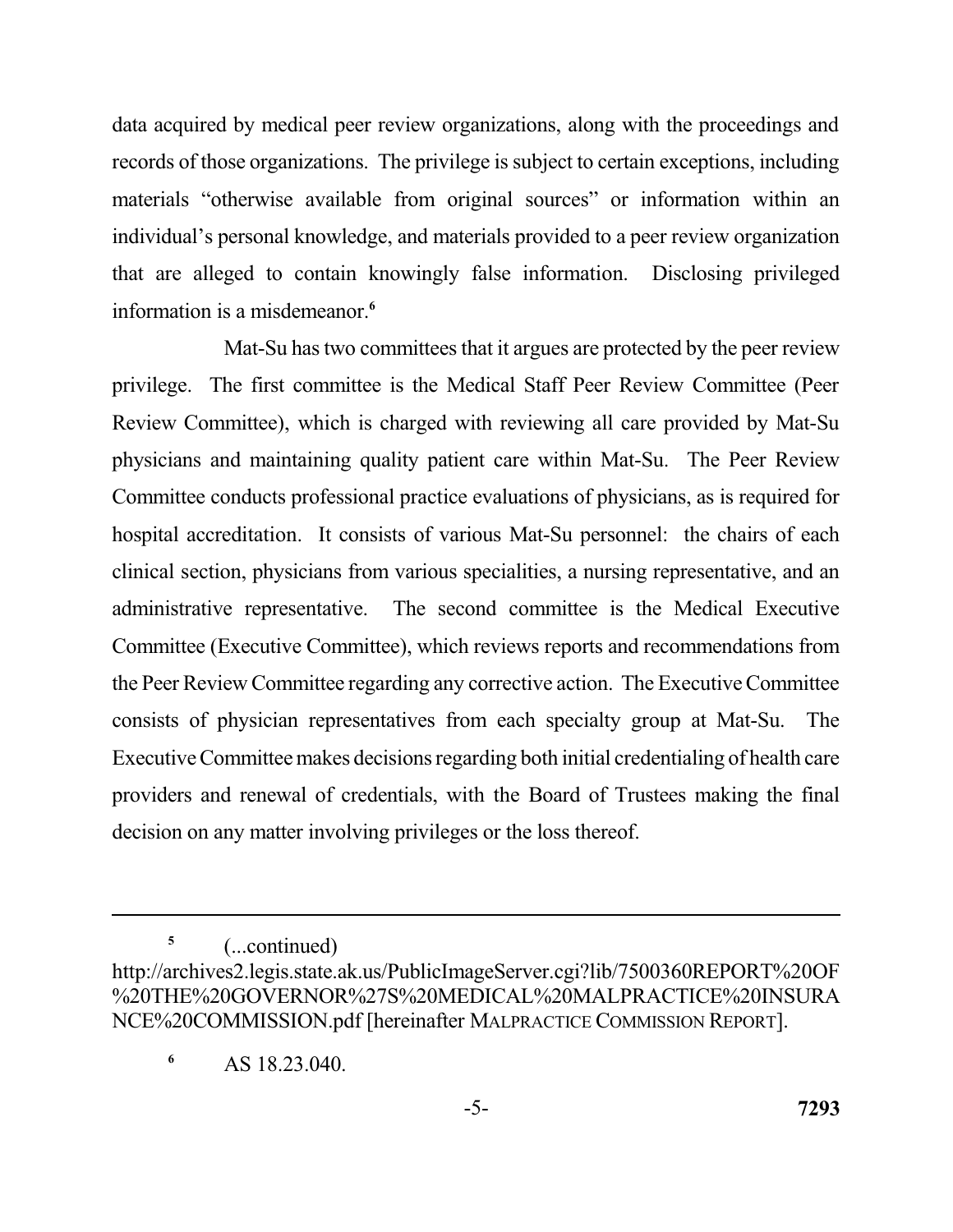data acquired by medical peer review organizations, along with the proceedings and records of those organizations. The privilege is subject to certain exceptions, including materials "otherwise available from original sources" or information within an individual's personal knowledge, and materials provided to a peer review organization that are alleged to contain knowingly false information. Disclosing privileged information is a misdemeanor.**<sup>6</sup>**

 Mat-Su has two committees that it argues are protected by the peer review privilege. The first committee is the Medical Staff Peer Review Committee (Peer Review Committee), which is charged with reviewing all care provided by Mat-Su physicians and maintaining quality patient care within Mat-Su. The Peer Review hospital accreditation. It consists of various Mat-Su personnel: the chairs of each clinical section, physicians from various specialities, a nursing representative, and an administrative representative. The second committee is the Medical Executive Committee (Executive Committee), which reviews reports and recommendations from the Peer Review Committee regarding any corrective action. The Executive Committee consists of physician representatives from each specialty group at Mat-Su. The Executive Committee makes decisions regarding both initial credentialing of health care providers and renewal of credentials, with the Board of Trustees making the final decision on any matter involving privileges or the loss thereof. Committee conducts professional practice evaluations of physicians, as is required for

**<sup>5</sup>**(...continued)

 NCE%20COMMISSION.pdf [hereinafter MALPRACTICE COMMISSION REPORT]. http://archives2.legis.state.ak.us/PublicImageServer.cgi?lib/7500360REPORT%20OF %20THE%20GOVERNOR%27S%20MEDICAL%20MALPRACTICE%20INSURA

 $\lambda$ S 18.23.040.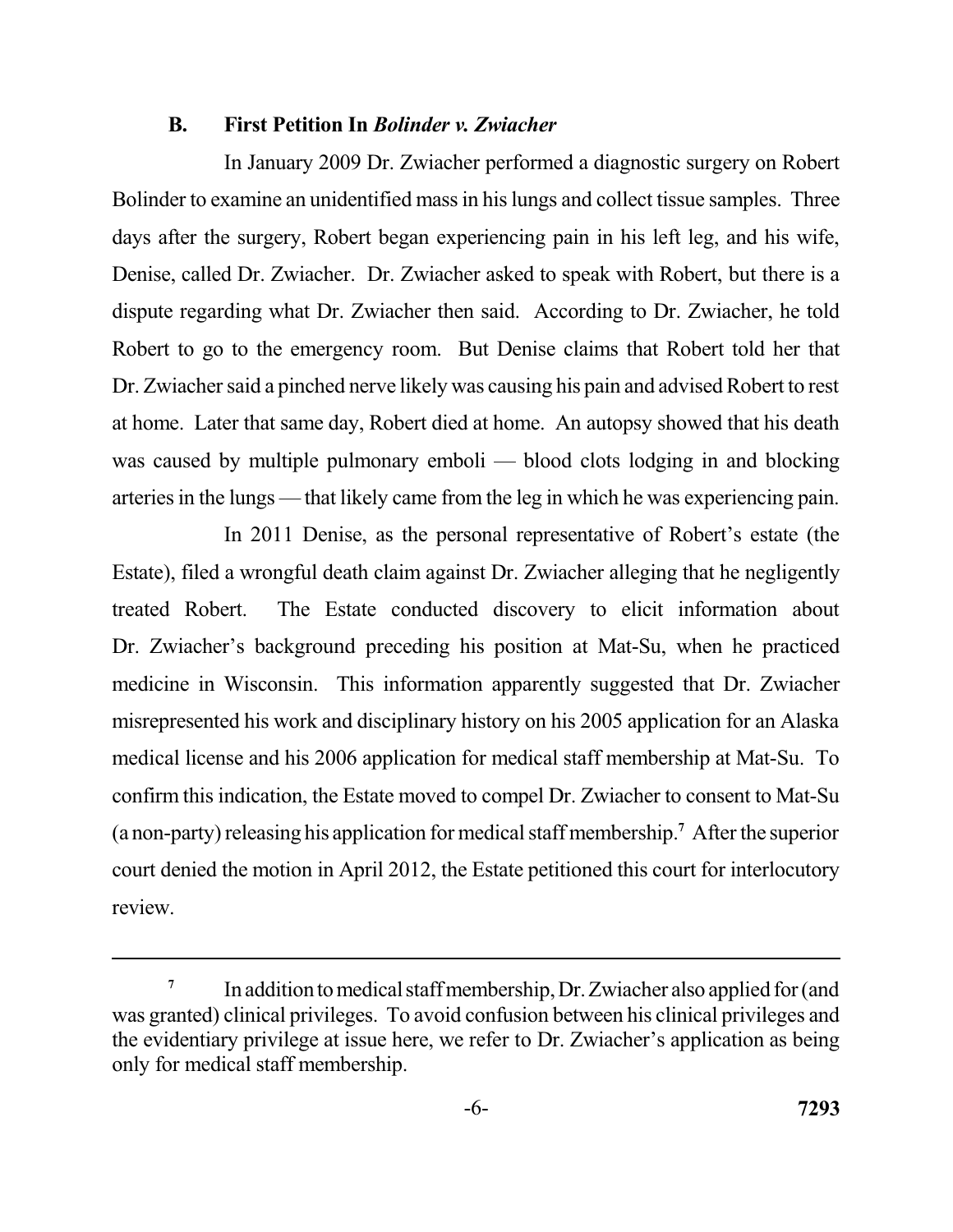#### **B. First Petition In** *Bolinder v. Zwiacher*

 In January 2009 Dr. Zwiacher performed a diagnostic surgery on Robert Bolinder to examine an unidentified mass in his lungs and collect tissue samples. Three days after the surgery, Robert began experiencing pain in his left leg, and his wife, Denise, called Dr. Zwiacher. Dr. Zwiacher asked to speak with Robert, but there is a dispute regarding what Dr. Zwiacher then said. According to Dr. Zwiacher, he told Robert to go to the emergency room. But Denise claims that Robert told her that Dr. Zwiacher said a pinched nerve likely was causing his pain and advised Robert to rest at home. Later that same day, Robert died at home. An autopsy showed that his death was caused by multiple pulmonary emboli — blood clots lodging in and blocking arteries in the lungs — that likely came from the leg in which he was experiencing pain.

 In 2011 Denise, as the personal representative of Robert's estate (the treated Robert. Dr. Zwiacher's background preceding his position at Mat-Su, when he practiced medicine in Wisconsin. This information apparently suggested that Dr. Zwiacher misrepresented his work and disciplinary history on his 2005 application for an Alaska medical license and his 2006 application for medical staff membership at Mat-Su. To confirm this indication, the Estate moved to compel Dr. Zwiacher to consent to Mat-Su (a non-party) releasing his application for medical staff membership.**<sup>7</sup>**After the superior court denied the motion in April 2012, the Estate petitioned this court for interlocutory Estate), filed a wrongful death claim against Dr. Zwiacher alleging that he negligently The Estate conducted discovery to elicit information about review.

<sup>&</sup>lt;sup>7</sup>In addition to medical staff membership, Dr. Zwiacher also applied for (and was granted) clinical privileges. To avoid confusion between his clinical privileges and the evidentiary privilege at issue here, we refer to Dr. Zwiacher's application as being only for medical staff membership.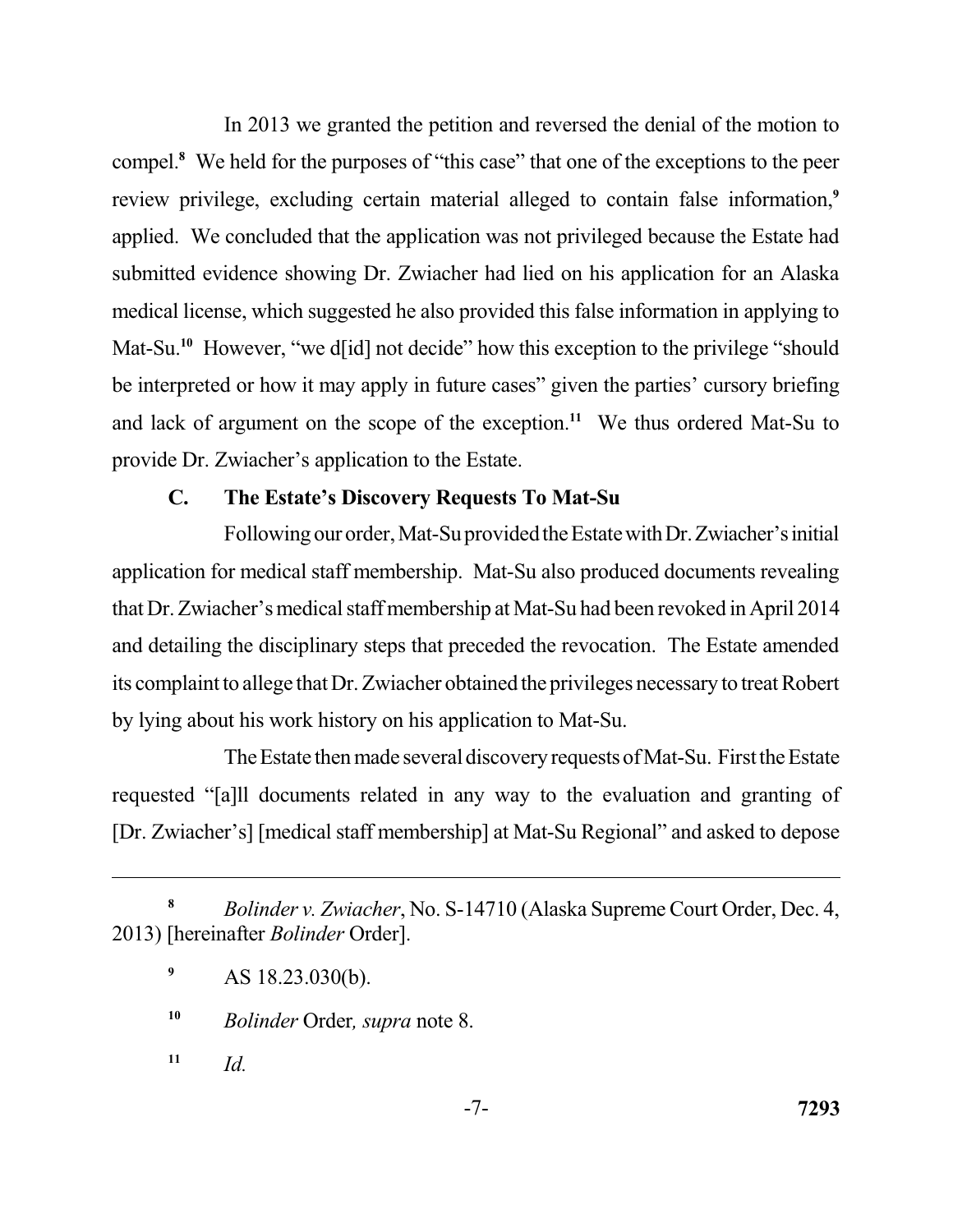In 2013 we granted the petition and reversed the denial of the motion to compel.**<sup>8</sup>**We held for the purposes of "this case" that one of the exceptions to the peer review privilege, excluding certain material alleged to contain false information,**<sup>9</sup>** applied. We concluded that the application was not privileged because the Estate had submitted evidence showing Dr. Zwiacher had lied on his application for an Alaska medical license, which suggested he also provided this false information in applying to Mat-Su.<sup>10</sup> However, "we d[id] not decide" how this exception to the privilege "should be interpreted or how it may apply in future cases" given the parties' cursory briefing and lack of argument on the scope of the exception.<sup>11</sup> We thus ordered Mat-Su to provide Dr. Zwiacher's application to the Estate.

## **C. The Estate's Discovery Requests To Mat-Su**

Following our order, Mat-Suprovided the Estate with Dr. Zwiacher's initial application for medical staff membership. Mat-Su also produced documents revealing that Dr. Zwiacher's medical staff membership at Mat-Su had been revoked in April 2014 and detailing the disciplinary steps that preceded the revocation. The Estate amended its complaint to allege that Dr. Zwiacher obtained the privileges necessary to treat Robert by lying about his work history on his application to Mat-Su.

 The Estate then made several discovery requestsofMat-Su. First the Estate requested "[a]ll documents related in any way to the evaluation and granting of [Dr. Zwiacher's] [medical staff membership] at Mat-Su Regional" and asked to depose

 $11$  *Id.* 

**<sup>8</sup>***Bolinder v. Zwiacher*, No. S-14710 (Alaska Supreme Court Order, Dec. 4, 2013) [hereinafter *Bolinder* Order].

<sup>&</sup>lt;sup>9</sup> AS 18.23.030(b).

**<sup>10</sup>***Bolinder* Order*, supra* note 8.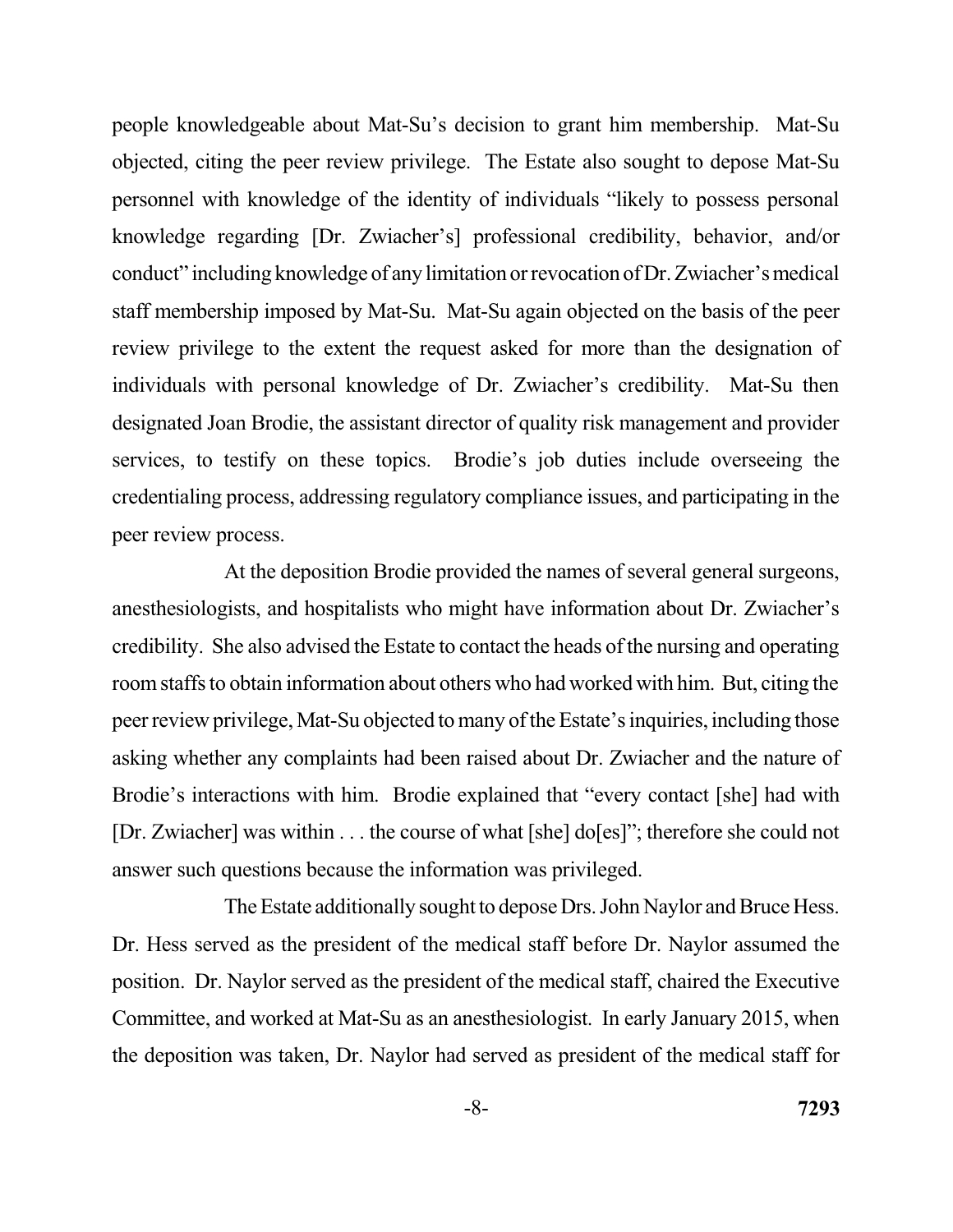people knowledgeable about Mat-Su's decision to grant him membership. Mat-Su objected, citing the peer review privilege. The Estate also sought to depose Mat-Su personnel with knowledge of the identity of individuals "likely to possess personal knowledge regarding [Dr. Zwiacher's] professional credibility, behavior, and/or conduct" including knowledge of any limitation or revocation of Dr. Zwiacher's medical review privilege to the extent the request asked for more than the designation of individuals with personal knowledge of Dr. Zwiacher's credibility. Mat-Su then designated Joan Brodie, the assistant director of quality risk management and provider services, to testify on these topics. Brodie's job duties include overseeing the credentialing process, addressing regulatory compliance issues, and participating in the peer review process. staff membership imposed by Mat-Su. Mat-Su again objected on the basis of the peer

 At the deposition Brodie provided the names of several general surgeons, anesthesiologists, and hospitalists who might have information about Dr. Zwiacher's credibility. She also advised the Estate to contact the heads of the nursing and operating room staffs to obtain information about others who had worked with him. But, citing the peer review privilege, Mat-Su objected to many of the Estate's inquiries, including those asking whether any complaints had been raised about Dr. Zwiacher and the nature of Brodie's interactions with him. Brodie explained that "every contact [she] had with [Dr. Zwiacher] was within . . . the course of what [she] do[es]"; therefore she could not answer such questions because the information was privileged.

 The Estate additionally sought to depose Drs. John Naylor and Bruce Hess. Dr. Hess served as the president of the medical staff before Dr. Naylor assumed the position. Dr. Naylor served as the president of the medical staff, chaired the Executive Committee, and worked at Mat-Su as an anesthesiologist. In early January 2015, when the deposition was taken, Dr. Naylor had served as president of the medical staff for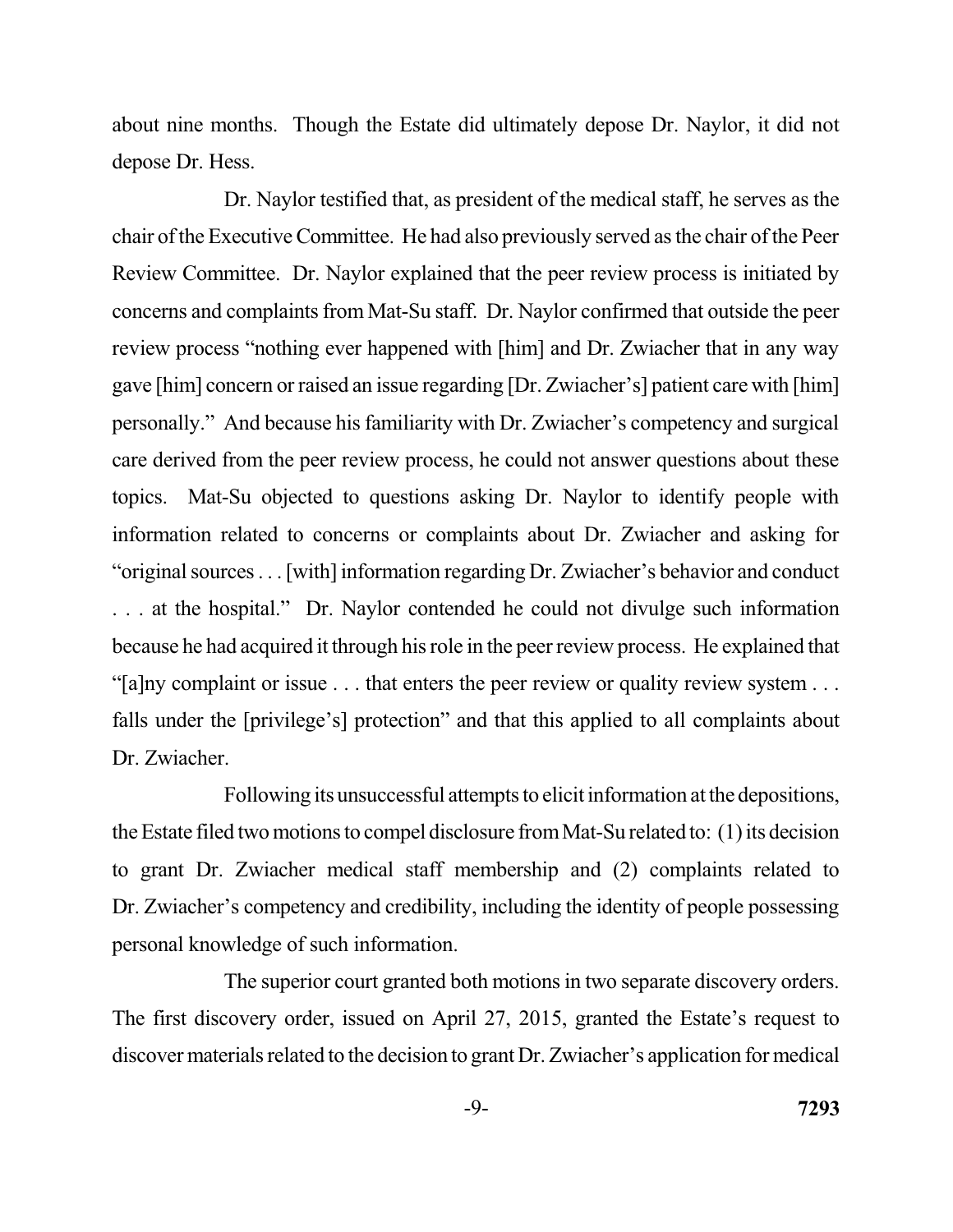about nine months. Though the Estate did ultimately depose Dr. Naylor, it did not depose Dr. Hess.

 Dr. Naylor testified that, as president of the medical staff, he serves as the chair of the Executive Committee. He had also previously served as the chair of the Peer Review Committee. Dr. Naylor explained that the peer review process is initiated by concerns and complaints from Mat-Su staff. Dr. Naylor confirmed that outside the peer review process "nothing ever happened with [him] and Dr. Zwiacher that in any way gave [him] concern or raised an issue regarding [Dr. Zwiacher's] patient care with [him] personally." And because his familiarity with Dr. Zwiacher's competency and surgical care derived from the peer review process, he could not answer questions about these topics. Mat-Su objected to questions asking Dr. Naylor to identify people with information related to concerns or complaints about Dr. Zwiacher and asking for "original sources . . . [with] information regarding Dr. Zwiacher's behavior and conduct . . . at the hospital." Dr. Naylor contended he could not divulge such information because he had acquired it through his role in the peer review process. He explained that "[a]ny complaint or issue . . . that enters the peer review or quality review system . . . falls under the [privilege's] protection" and that this applied to all complaints about Dr. Zwiacher.

 Following its unsuccessful attempts to elicit information at the depositions, the Estate filed two motions to compel disclosure fromMat-Su related to: (1) its decision to grant Dr. Zwiacher medical staff membership and (2) complaints related to Dr. Zwiacher's competency and credibility, including the identity of people possessing personal knowledge of such information.

 The superior court granted both motions in two separate discovery orders. The first discovery order, issued on April 27, 2015, granted the Estate's request to discover materials related to the decision to grant Dr. Zwiacher's application for medical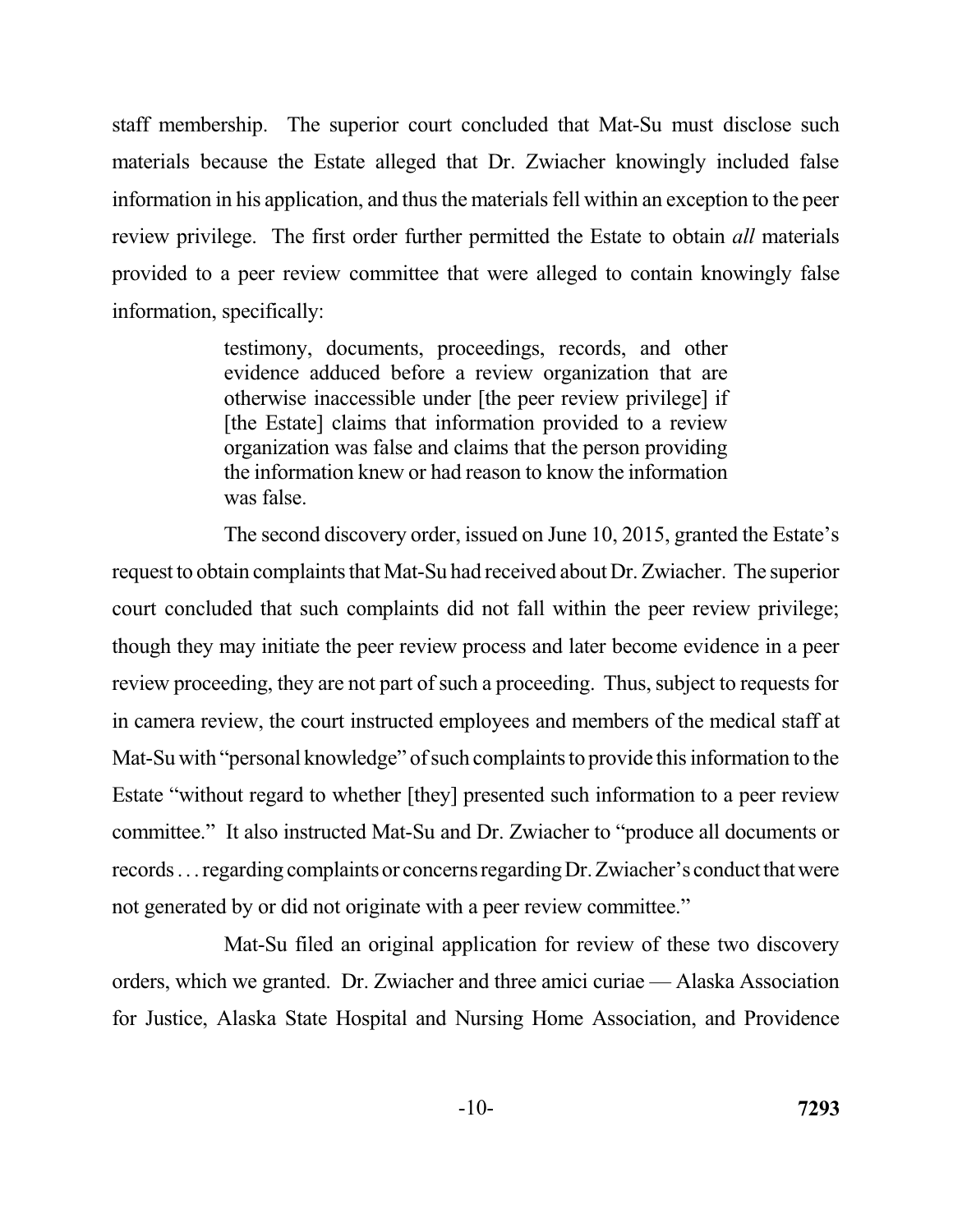staff membership. The superior court concluded that Mat-Su must disclose such materials because the Estate alleged that Dr. Zwiacher knowingly included false information in his application, and thus the materials fell within an exception to the peer review privilege. The first order further permitted the Estate to obtain *all* materials provided to a peer review committee that were alleged to contain knowingly false information, specifically:

> testimony, documents, proceedings, records, and other evidence adduced before a review organization that are otherwise inaccessible under [the peer review privilege] if [the Estate] claims that information provided to a review the information knew or had reason to know the information was false. organization was false and claims that the person providing

 The second discovery order, issued on June 10, 2015, granted the Estate's request to obtain complaints that Mat-Su had received about Dr. Zwiacher. The superior court concluded that such complaints did not fall within the peer review privilege; though they may initiate the peer review process and later become evidence in a peer review proceeding, they are not part of such a proceeding. Thus, subject to requests for in camera review, the court instructed employees and members of the medical staff at Mat-Su with "personal knowledge" of such complaints to provide this information to the Estate "without regard to whether [they] presented such information to a peer review committee." It also instructed Mat-Su and Dr. Zwiacher to "produce all documents or records . . . regarding complaints or concerns regarding Dr. Zwiacher's conduct that were not generated by or did not originate with a peer review committee."

 Mat-Su filed an original application for review of these two discovery orders, which we granted. Dr. Zwiacher and three amici curiae — Alaska Association for Justice, Alaska State Hospital and Nursing Home Association, and Providence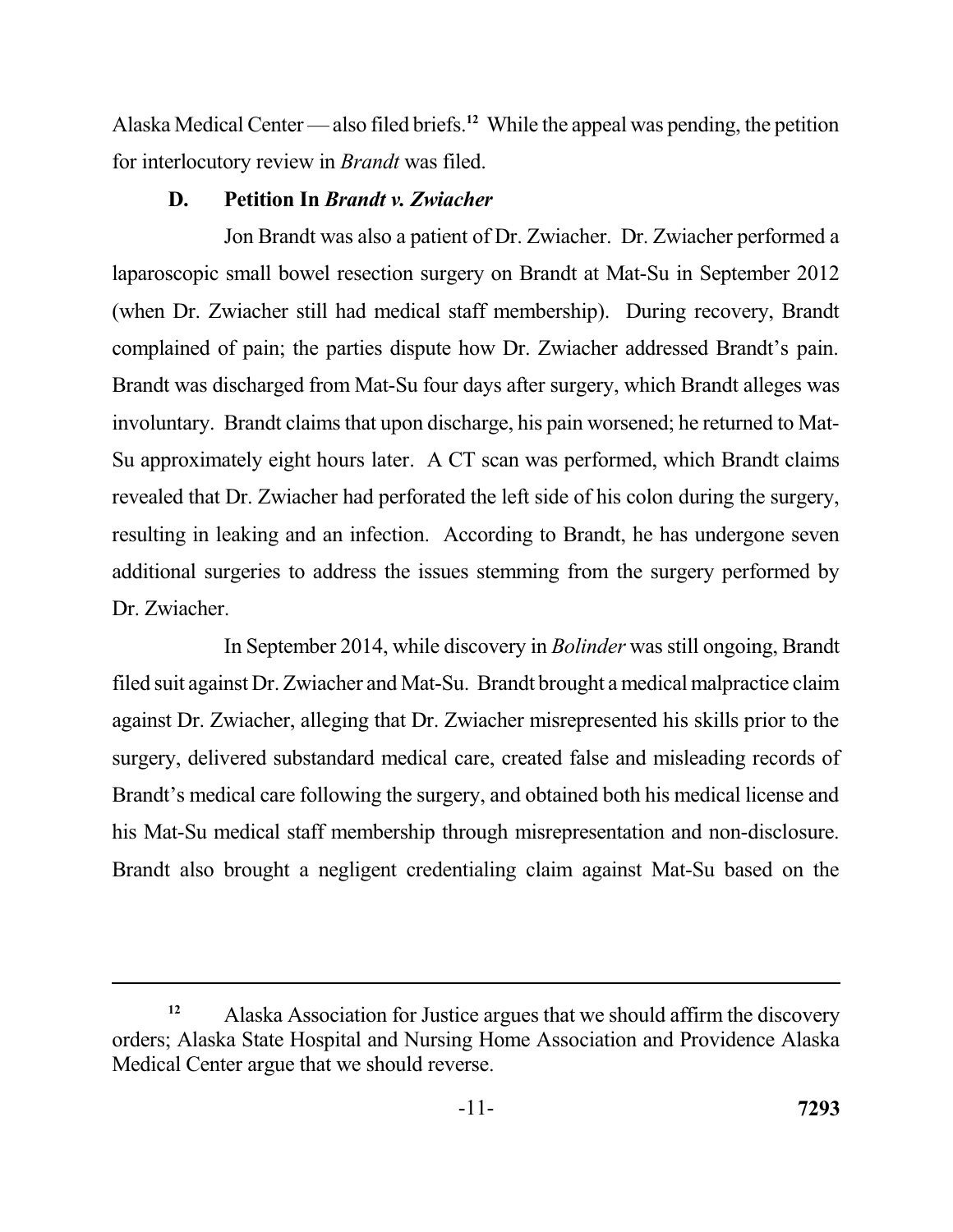Alaska Medical Center — also filed briefs.**<sup>12</sup>**While the appeal was pending, the petition for interlocutory review in *Brandt* was filed.

# **D. Petition In** *Brandt v. Zwiacher*

 Jon Brandt was also a patient of Dr. Zwiacher. Dr. Zwiacher performed a laparoscopic small bowel resection surgery on Brandt at Mat-Su in September 2012 (when Dr. Zwiacher still had medical staff membership). During recovery, Brandt complained of pain; the parties dispute how Dr. Zwiacher addressed Brandt's pain. Brandt was discharged from Mat-Su four days after surgery, which Brandt alleges was involuntary. Brandt claims that upon discharge, his pain worsened; he returned to Mat- Su approximately eight hours later. A CT scan was performed, which Brandt claims revealed that Dr. Zwiacher had perforated the left side of his colon during the surgery, resulting in leaking and an infection. According to Brandt, he has undergone seven additional surgeries to address the issues stemming from the surgery performed by Dr. Zwiacher.

 In September 2014, while discovery in *Bolinder* was still ongoing, Brandt filed suit against Dr. Zwiacher and Mat-Su. Brandt brought a medical malpractice claim against Dr. Zwiacher, alleging that Dr. Zwiacher misrepresented his skills prior to the surgery, delivered substandard medical care, created false and misleading records of Brandt's medical care following the surgery, and obtained both his medical license and his Mat-Su medical staff membership through misrepresentation and non-disclosure. Brandt also brought a negligent credentialing claim against Mat-Su based on the

<sup>&</sup>lt;sup>12</sup> Alaska Association for Justice argues that we should affirm the discovery orders; Alaska State Hospital and Nursing Home Association and Providence Alaska Medical Center argue that we should reverse.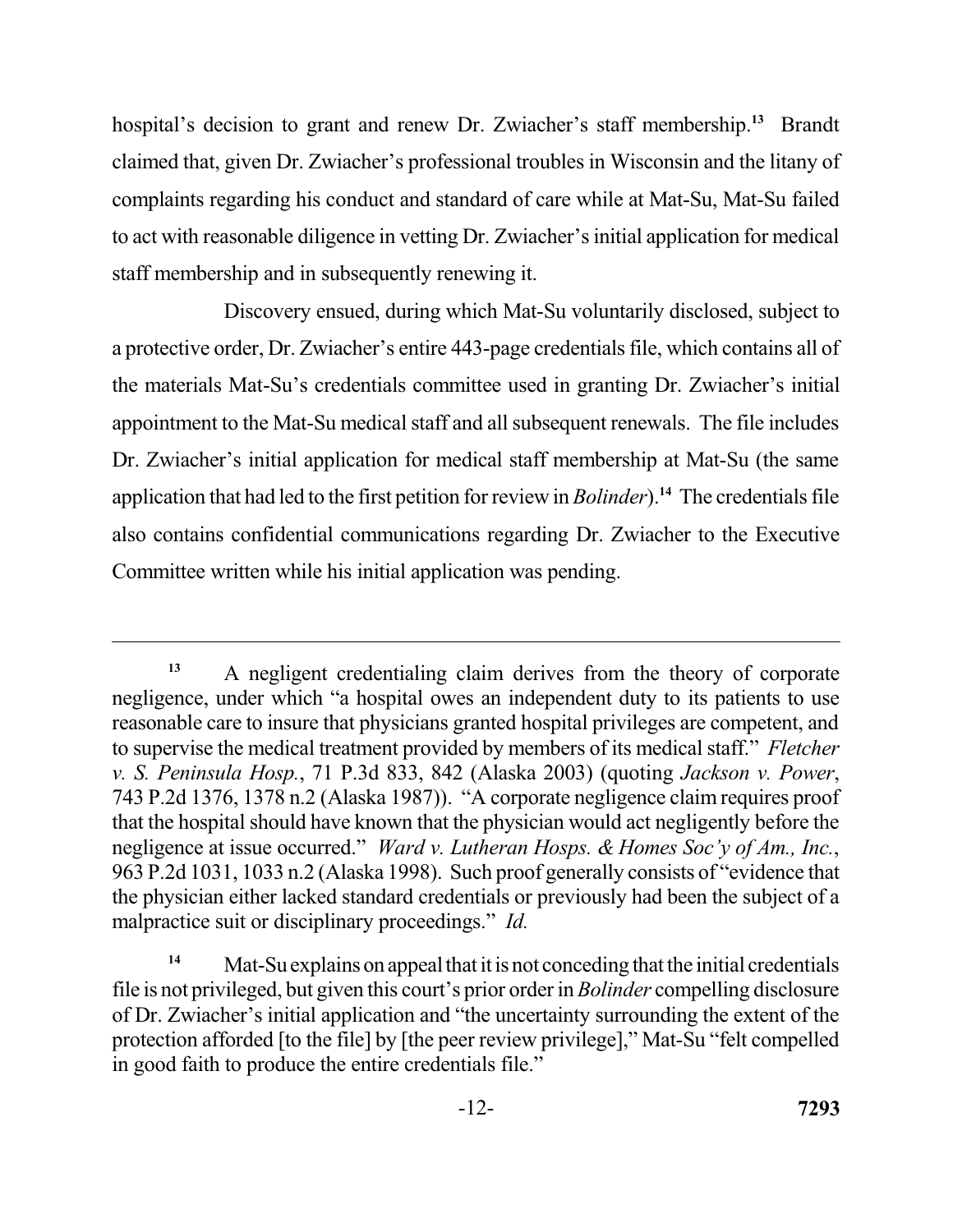hospital's decision to grant and renew Dr. Zwiacher's staff membership.<sup>13</sup> Brandt claimed that, given Dr. Zwiacher's professional troubles in Wisconsin and the litany of to act with reasonable diligence in vetting Dr. Zwiacher's initial application for medical staff membership and in subsequently renewing it. complaints regarding his conduct and standard of care while at Mat-Su, Mat-Su failed

 Discovery ensued, during which Mat-Su voluntarily disclosed, subject to a protective order, Dr. Zwiacher's entire 443-page credentials file, which contains all of the materials Mat-Su's credentials committee used in granting Dr. Zwiacher's initial appointment to the Mat-Su medical staff and all subsequent renewals. The file includes Dr. Zwiacher's initial application for medical staff membership at Mat-Su (the same application that had led to the first petition for review in *Bolinder*).**<sup>14</sup>**The credentials file also contains confidential communications regarding Dr. Zwiacher to the Executive Committee written while his initial application was pending.

 **<sup>13</sup>**A negligent credentialing claim derives from the theory of corporate negligence, under which "a hospital owes an independent duty to its patients to use reasonable care to insure that physicians granted hospital privileges are competent, and to supervise the medical treatment provided by members of its medical staff." *Fletcher v. S. Peninsula Hosp.*, 71 P.3d 833, 842 (Alaska 2003) (quoting *Jackson v. Power*, 743 P.2d 1376, 1378 n.2 (Alaska 1987)). "A corporate negligence claim requires proof that the hospital should have known that the physician would act negligently before the negligence at issue occurred." *Ward v. Lutheran Hosps. & Homes Soc'y of Am., Inc.*, 963 P.2d 1031, 1033 n.2 (Alaska 1998). Such proof generally consists of "evidence that the physician either lacked standard credentials or previously had been the subject of a malpractice suit or disciplinary proceedings." *Id.* 

<sup>&</sup>lt;sup>14</sup> Mat-Su explains on appeal that it is not conceding that the initial credentials file is not privileged, but given this court's prior order in *Bolinder* compelling disclosure of Dr. Zwiacher's initial application and "the uncertainty surrounding the extent of the protection afforded [to the file] by [the peer review privilege]," Mat-Su "felt compelled in good faith to produce the entire credentials file."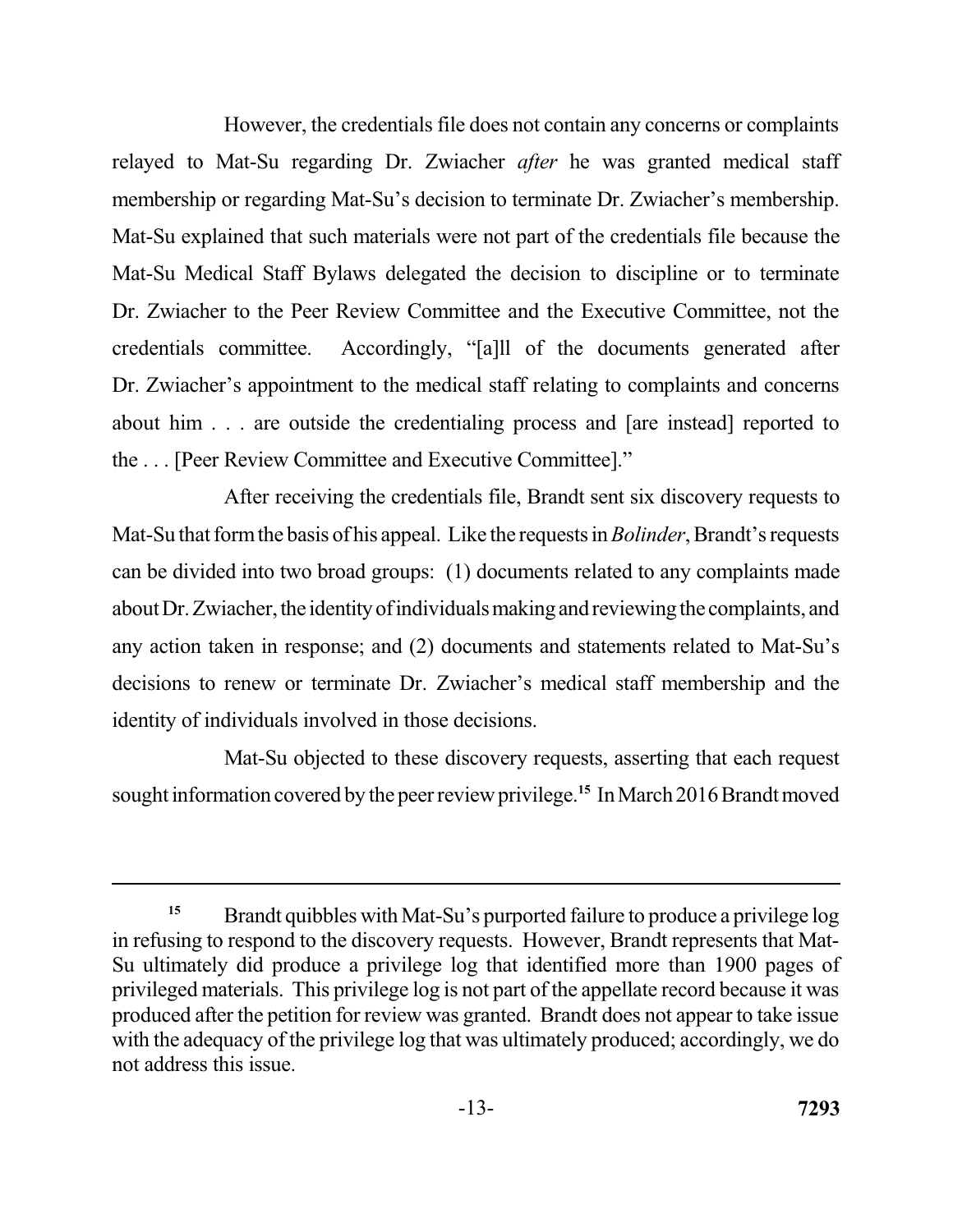However, the credentials file does not contain any concerns or complaints relayed to Mat-Su regarding Dr. Zwiacher *after* he was granted medical staff membership or regarding Mat-Su's decision to terminate Dr. Zwiacher's membership. Mat-Su explained that such materials were not part of the credentials file because the Mat-Su Medical Staff Bylaws delegated the decision to discipline or to terminate Dr. Zwiacher to the Peer Review Committee and the Executive Committee, not the credentials committee. Dr. Zwiacher's appointment to the medical staff relating to complaints and concerns about him . . . are outside the credentialing process and [are instead] reported to the . . . [Peer Review Committee and Executive Committee]." Accordingly, "[a]ll of the documents generated after

 After receiving the credentials file, Brandt sent six discovery requests to Mat-Su that formthe basis of his appeal. Like the requests in *Bolinder*, Brandt's requests can be divided into two broad groups: (1) documents related to any complaints made about Dr. Zwiacher, the identity of individuals making and reviewing the complaints, and any action taken in response; and (2) documents and statements related to Mat-Su's decisions to renew or terminate Dr. Zwiacher's medical staff membership and the identity of individuals involved in those decisions.

 Mat-Su objected to these discovery requests, asserting that each request sought information covered by the peer review privilege.**<sup>15</sup>**In March 2016 Brandt moved

<sup>&</sup>lt;sup>15</sup> Brandt quibbles with Mat-Su's purported failure to produce a privilege log in refusing to respond to the discovery requests. However, Brandt represents that Mat- Su ultimately did produce a privilege log that identified more than 1900 pages of privileged materials. This privilege log is not part of the appellate record because it was produced after the petition for review was granted. Brandt does not appear to take issue with the adequacy of the privilege log that was ultimately produced; accordingly, we do not address this issue.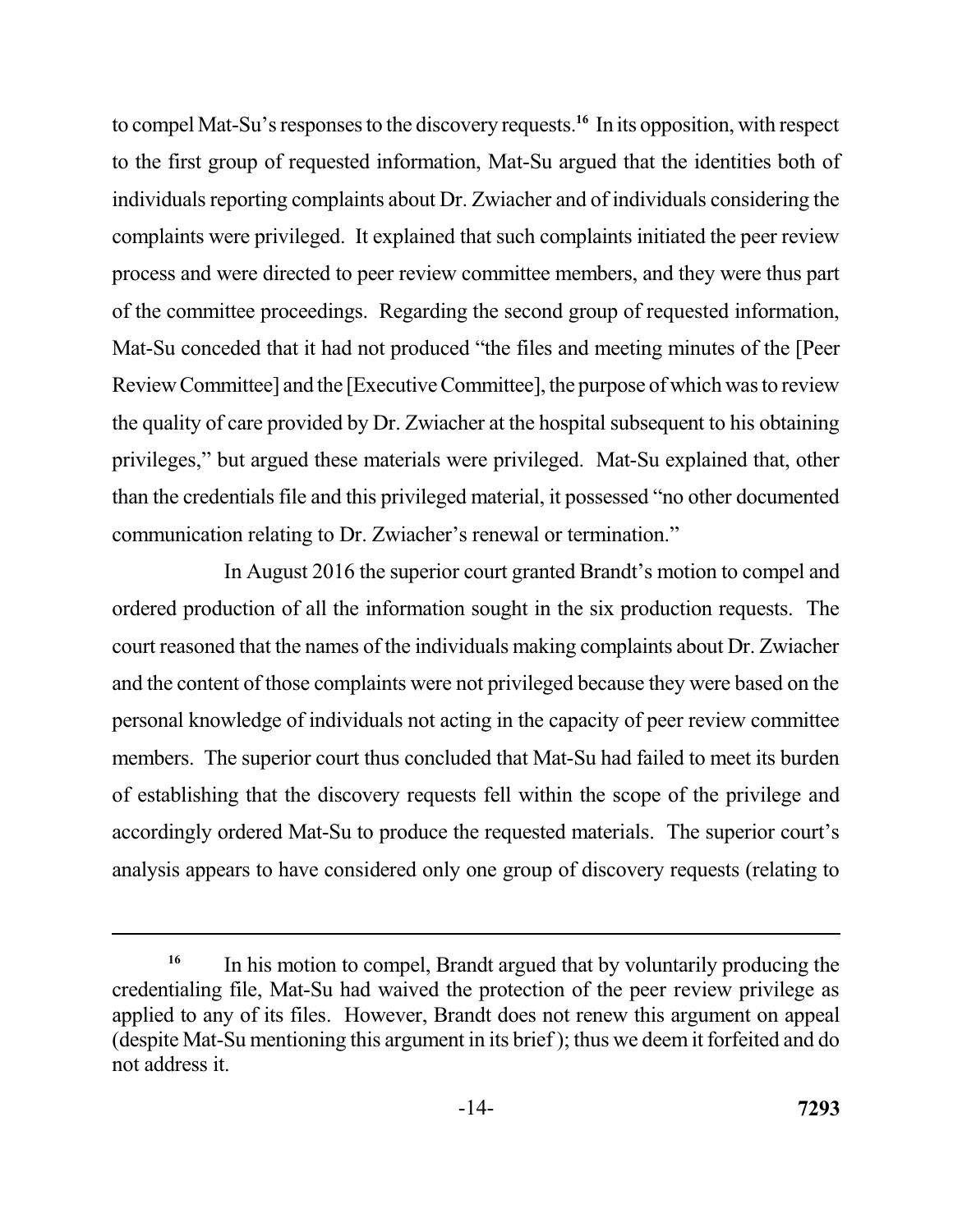to compel Mat-Su's responses to the discovery requests.**<sup>16</sup>**In its opposition, with respect to the first group of requested information, Mat-Su argued that the identities both of individuals reporting complaints about Dr. Zwiacher and of individuals considering the complaints were privileged. It explained that such complaints initiated the peer review process and were directed to peer review committee members, and they were thus part of the committee proceedings. Regarding the second group of requested information, Mat-Su conceded that it had not produced "the files and meeting minutes of the [Peer Review Committee] and the [Executive Committee], the purpose of which was to review the quality of care provided by Dr. Zwiacher at the hospital subsequent to his obtaining privileges," but argued these materials were privileged. Mat-Su explained that, other than the credentials file and this privileged material, it possessed "no other documented communication relating to Dr. Zwiacher's renewal or termination."

 In August 2016 the superior court granted Brandt's motion to compel and ordered production of all the information sought in the six production requests. The court reasoned that the names of the individuals making complaints about Dr. Zwiacher and the content of those complaints were not privileged because they were based on the personal knowledge of individuals not acting in the capacity of peer review committee members. The superior court thus concluded that Mat-Su had failed to meet its burden of establishing that the discovery requests fell within the scope of the privilege and accordingly ordered Mat-Su to produce the requested materials. The superior court's analysis appears to have considered only one group of discovery requests (relating to

<sup>&</sup>lt;sup>16</sup> In his motion to compel, Brandt argued that by voluntarily producing the credentialing file, Mat-Su had waived the protection of the peer review privilege as applied to any of its files. However, Brandt does not renew this argument on appeal (despite Mat-Su mentioning this argument in its brief ); thus we deem it forfeited and do not address it.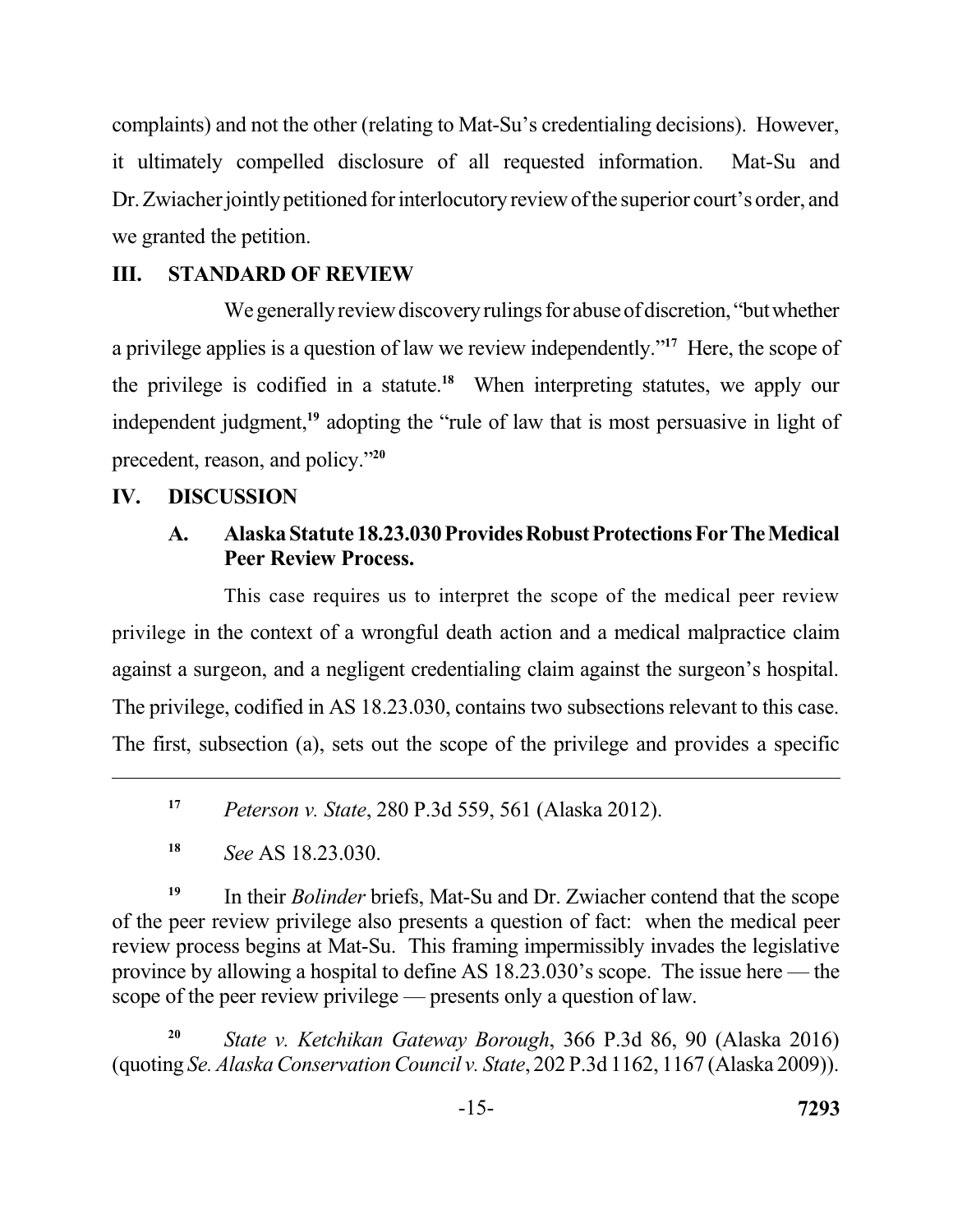complaints) and not the other (relating to Mat-Su's credentialing decisions). However, it ultimately compelled disclosure of all requested information. Mat-Su and Dr. Zwiacher jointly petitioned for interlocutory review of the superior court's order, and we granted the petition.

# **III. STANDARD OF REVIEW**

We generally review discovery rulings for abuse of discretion, "but whether a privilege applies is a question of law we review independently."<sup>17</sup> Here, the scope of the privilege is codified in a statute.<sup>18</sup> When interpreting statutes, we apply our independent judgment,**<sup>19</sup>**adopting the "rule of law that is most persuasive in light of precedent, reason, and policy."**<sup>20</sup>**

## **IV. DISCUSSION**

## A. Alaska Statute 18.23.030 Provides Robust Protections For The Medical  **Peer Review Process.**

 This case requires us to interpret the scope of the medical peer review privilege in the context of a wrongful death action and a medical malpractice claim against a surgeon, and a negligent credentialing claim against the surgeon's hospital. The privilege, codified in AS 18.23.030, contains two subsections relevant to this case. The first, subsection (a), sets out the scope of the privilege and provides a specific

**<sup>17</sup>***Peterson v. State*, 280 P.3d 559, 561 (Alaska 2012).

**<sup>19</sup>**In their *Bolinder* briefs, Mat-Su and Dr. Zwiacher contend that the scope of the peer review privilege also presents a question of fact: when the medical peer review process begins at Mat-Su. This framing impermissibly invades the legislative province by allowing a hospital to define AS 18.23.030's scope. The issue here — the scope of the peer review privilege — presents only a question of law.

**<sup>20</sup>***State v. Ketchikan Gateway Borough*, 366 P.3d 86, 90 (Alaska 2016) (quoting *Se. Alaska Conservation Council v. State*, 202 P.3d 1162, 1167 (Alaska 2009)).

**<sup>18</sup>***See* AS 18.23.030.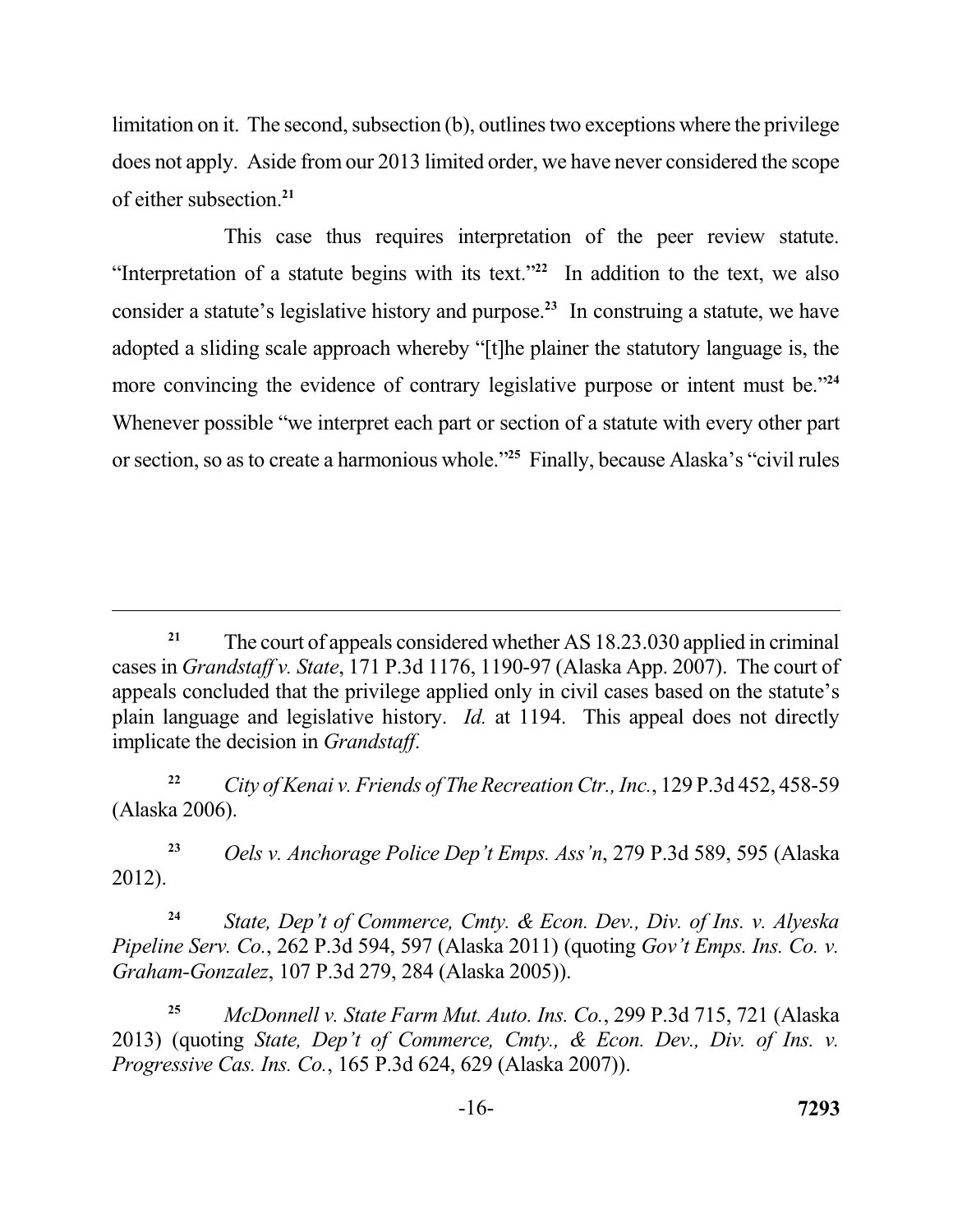limitation on it. The second, subsection (b), outlines two exceptions where the privilege does not apply. Aside from our 2013 limited order, we have never considered the scope of either subsection.**<sup>21</sup>**

 This case thus requires interpretation of the peer review statute. "Interpretation of a statute begins with its text."<sup>22</sup> In addition to the text, we also consider a statute's legislative history and purpose.**<sup>23</sup>**In construing a statute, we have adopted a sliding scale approach whereby "[t]he plainer the statutory language is, the more convincing the evidence of contrary legislative purpose or intent must be."**<sup>24</sup>** Whenever possible "we interpret each part or section of a statute with every other part or section, so as to create a harmonious whole."**<sup>25</sup>**Finally, because Alaska's "civil rules

**<sup>23</sup>***Oels v. Anchorage Police Dep't Emps. Ass'n*, 279 P.3d 589, 595 (Alaska 2012).

**<sup>24</sup>***State, Dep't of Commerce, Cmty. & Econ. Dev., Div. of Ins. v. Alyeska Pipeline Serv. Co.*, 262 P.3d 594, 597 (Alaska 2011) (quoting *Gov't Emps. Ins. Co. v. Graham-Gonzalez*, 107 P.3d 279, 284 (Alaska 2005)).

**<sup>25</sup>***McDonnell v. State Farm Mut. Auto. Ins. Co.*, 299 P.3d 715, 721 (Alaska 2013) (quoting *State, Dep't of Commerce, Cmty., & Econ. Dev., Div. of Ins. v. Progressive Cas. Ins. Co.*, 165 P.3d 624, 629 (Alaska 2007)).

<sup>&</sup>lt;sup>21</sup> The court of appeals considered whether AS 18.23.030 applied in criminal cases in *Grandstaff v. State*, 171 P.3d 1176, 1190-97 (Alaska App. 2007). The court of appeals concluded that the privilege applied only in civil cases based on the statute's plain language and legislative history. *Id.* at 1194. This appeal does not directly implicate the decision in *Grandstaff*.

 **<sup>22</sup>***City of Kenai v. Friends of The Recreation Ctr., Inc.*, 129 P.3d 452, 458-59 (Alaska 2006).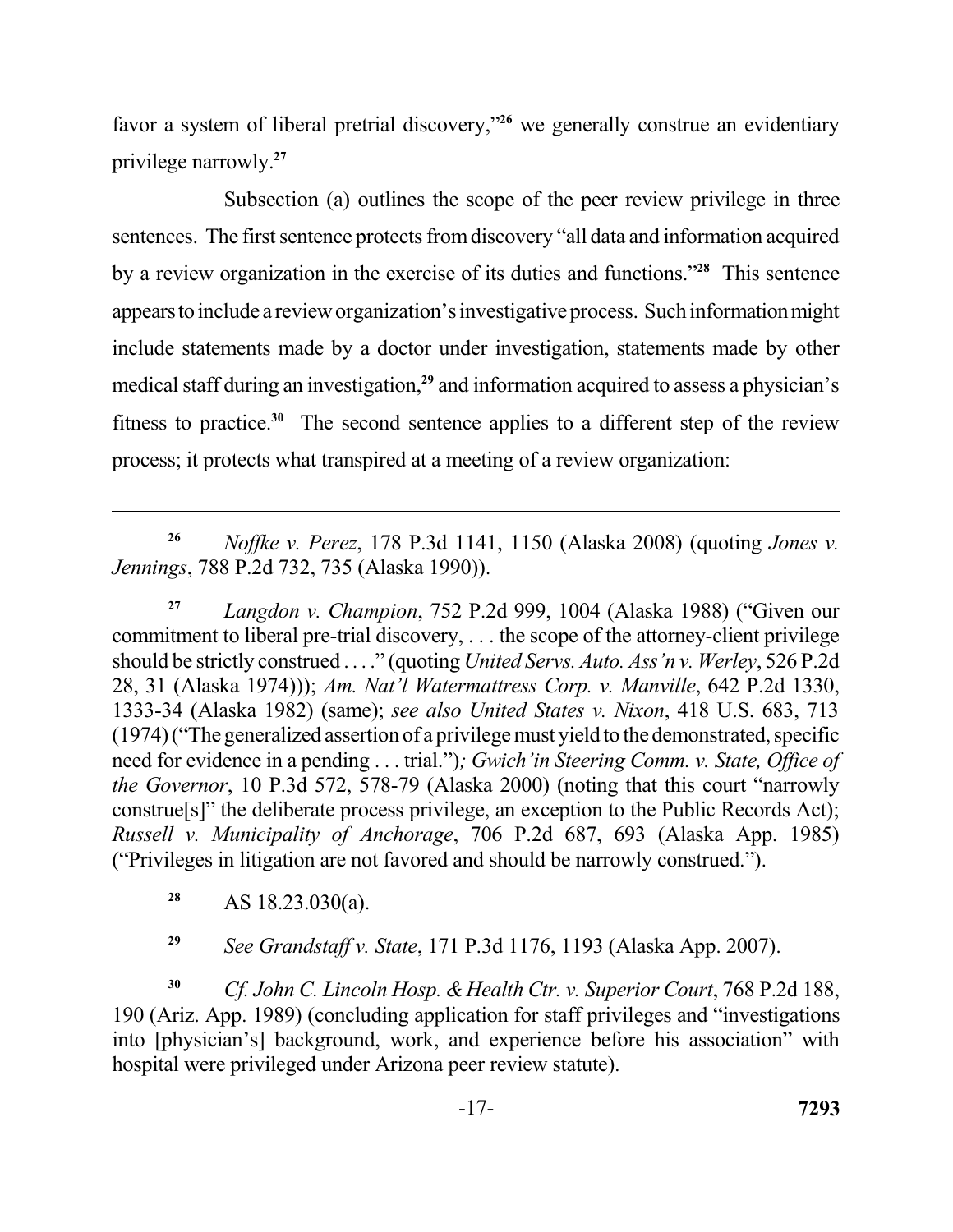favor a system of liberal pretrial discovery,"**<sup>26</sup>**we generally construe an evidentiary privilege narrowly.**<sup>27</sup>**

 Subsection (a) outlines the scope of the peer review privilege in three sentences. The first sentence protects from discovery "all data and information acquired by a review organization in the exercise of its duties and functions.<sup>"28</sup> This sentence appears to include a review organization's investigative process. Such information might include statements made by a doctor under investigation, statements made by other medical staff during an investigation,**<sup>29</sup>**and information acquired to assess a physician's fitness to practice.<sup>30</sup> The second sentence applies to a different step of the review process; it protects what transpired at a meeting of a review organization:

 **<sup>26</sup>***Noffke v. Perez*, 178 P.3d 1141, 1150 (Alaska 2008) (quoting *Jones v. Jennings*, 788 P.2d 732, 735 (Alaska 1990)).

 **<sup>27</sup>***Langdon v. Champion*, 752 P.2d 999, 1004 (Alaska 1988) ("Given our commitment to liberal pre-trial discovery, . . . the scope of the attorney-client privilege should be strictly construed . . . ." (quoting *United Servs. Auto. Ass'n v. Werley*, 526 P.2d 28, 31 (Alaska 1974))); *Am. Nat'l Watermattress Corp. v. Manville*, 642 P.2d 1330, 1333-34 (Alaska 1982) (same); *see also United States v. Nixon*, 418 U.S. 683, 713 (1974) ("The generalized assertion of a privilege must yield to the demonstrated, specific need for evidence in a pending . . . trial.")*; Gwich'in Steering Comm. v. State, Office of the Governor*, 10 P.3d 572, 578-79 (Alaska 2000) (noting that this court "narrowly construe[s]" the deliberate process privilege, an exception to the Public Records Act);  *Russell v. Municipality of Anchorage*, 706 P.2d 687, 693 (Alaska App. 1985) ("Privileges in litigation are not favored and should be narrowly construed.").

**<sup>28</sup>**AS 18.23.030(a).

**<sup>29</sup>***See Grandstaff v. State*, 171 P.3d 1176, 1193 (Alaska App. 2007).

**<sup>30</sup>***Cf. John C. Lincoln Hosp. & Health Ctr. v. Superior Court*, 768 P.2d 188, 190 (Ariz. App. 1989) (concluding application for staff privileges and "investigations into [physician's] background, work, and experience before his association" with hospital were privileged under Arizona peer review statute).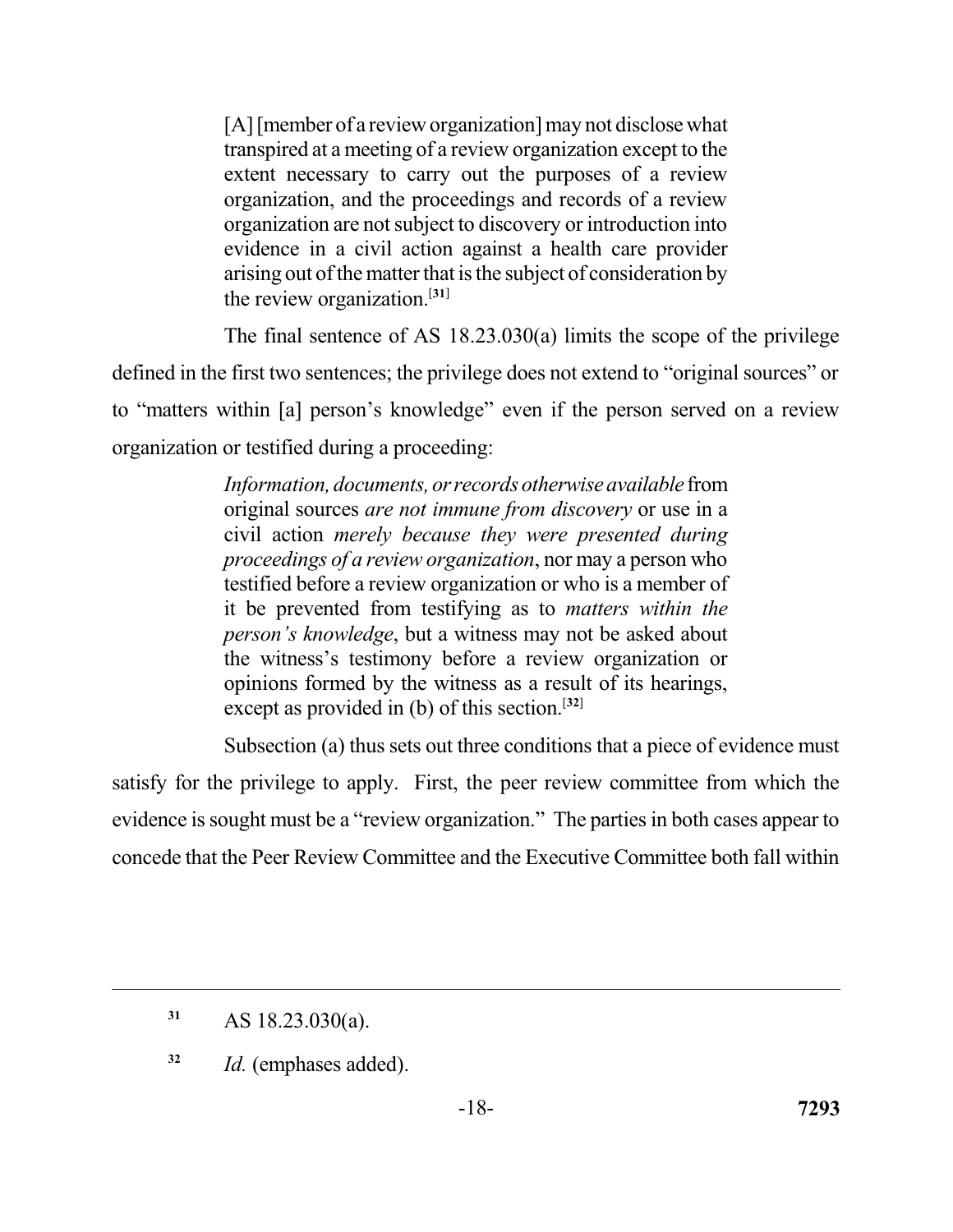[A] [member of a review organization] may not disclose what transpired at a meeting of a review organization except to the extent necessary to carry out the purposes of a review organization, and the proceedings and records of a review organization are not subject to discovery or introduction into evidence in a civil action against a health care provider arising out of the matter that is the subject of consideration by the review organization.[**31**]

 The final sentence of AS 18.23.030(a) limits the scope of the privilege defined in the first two sentences; the privilege does not extend to "original sources" or to "matters within [a] person's knowledge" even if the person served on a review organization or testified during a proceeding:

> *Information, documents, orrecords otherwiseavailable* from original sources *are not immune from discovery* or use in a civil action *merely because they were presented during proceedings of a review organization*, nor may a person who testified before a review organization or who is a member of it be prevented from testifying as to *matters within the person's knowledge*, but a witness may not be asked about the witness's testimony before a review organization or opinions formed by the witness as a result of its hearings, except as provided in (b) of this section.[**32**]

 Subsection (a) thus sets out three conditions that a piece of evidence must satisfy for the privilege to apply. First, the peer review committee from which the evidence is sought must be a "review organization." The parties in both cases appear to concede that the Peer Review Committee and the Executive Committee both fall within

**<sup>32</sup>***Id.* (emphases added).

**<sup>31</sup>**AS 18.23.030(a).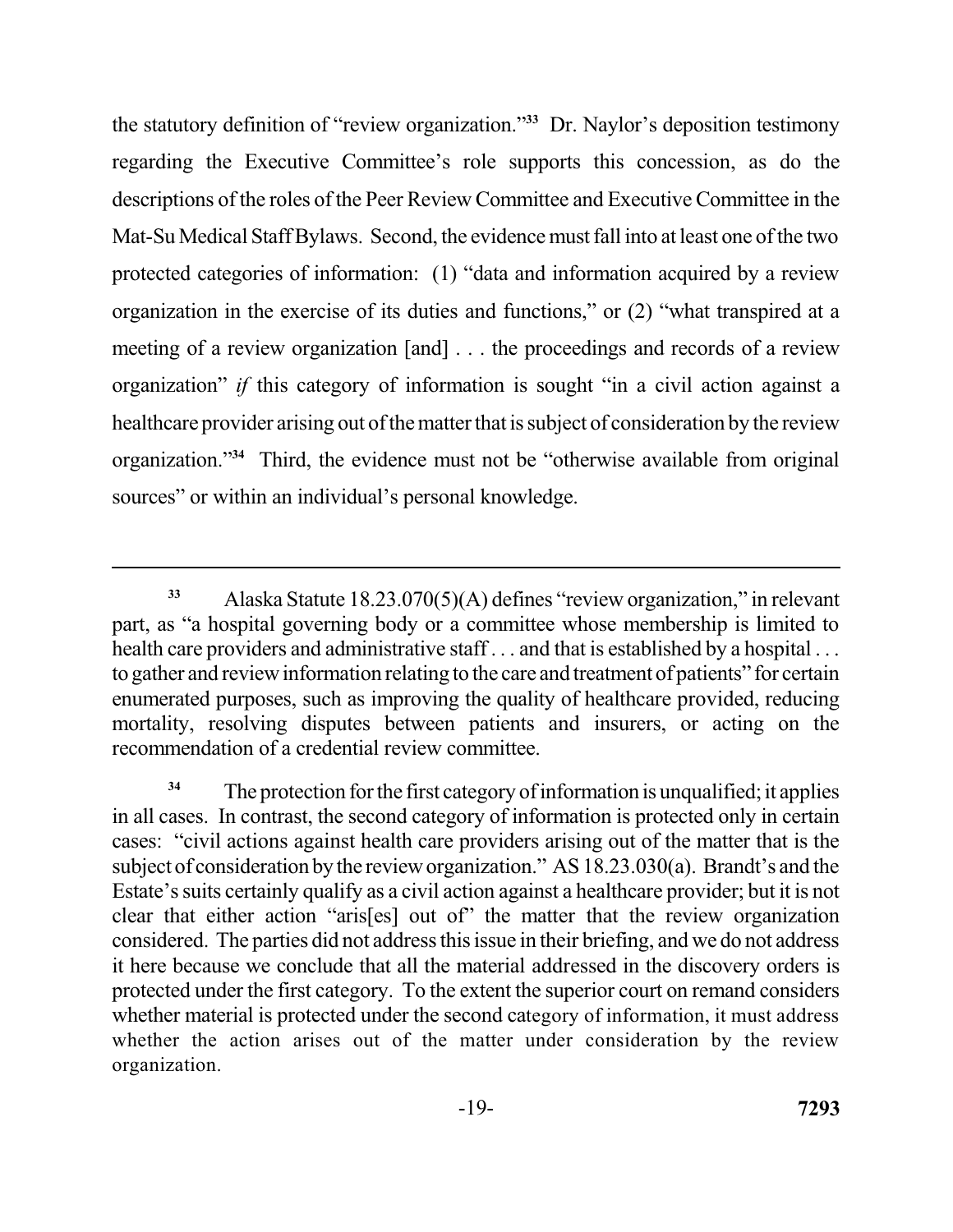the statutory definition of "review organization."**<sup>33</sup>** Dr. Naylor's deposition testimony regarding the Executive Committee's role supports this concession, as do the descriptions of the roles of the Peer Review Committee and Executive Committee in the Mat-Su Medical Staff Bylaws. Second, the evidence must fall into at least one of the two protected categories of information: (1) "data and information acquired by a review organization in the exercise of its duties and functions," or (2) "what transpired at a meeting of a review organization [and] . . . the proceedings and records of a review organization" *if* this category of information is sought "in a civil action against a healthcare provider arising out of the matter that is subject of consideration by the review organization."**<sup>34</sup>**Third, the evidence must not be "otherwise available from original sources" or within an individual's personal knowledge.

 **<sup>33</sup>**Alaska Statute 18.23.070(5)(A) defines "review organization," in relevant part, as "a hospital governing body or a committee whose membership is limited to health care providers and administrative staff... and that is established by a hospital... to gather and review information relating to the care and treatment of patients" for certain enumerated purposes, such as improving the quality of healthcare provided, reducing mortality, resolving disputes between patients and insurers, or acting on the recommendation of a credential review committee.

<sup>&</sup>lt;sup>34</sup> The protection for the first category of information is unqualified; it applies in all cases. In contrast, the second category of information is protected only in certain cases: "civil actions against health care providers arising out of the matter that is the subject of consideration by the review organization." AS 18.23.030(a). Brandt's and the Estate's suits certainly qualify as a civil action against a healthcare provider; but it is not clear that either action "aris[es] out of" the matter that the review organization considered. The parties did not address this issue in their briefing, and we do not address it here because we conclude that all the material addressed in the discovery orders is protected under the first category. To the extent the superior court on remand considers whether material is protected under the second category of information, it must address whether the action arises out of the matter under consideration by the review organization. organization. -19- **<sup>7293</sup>**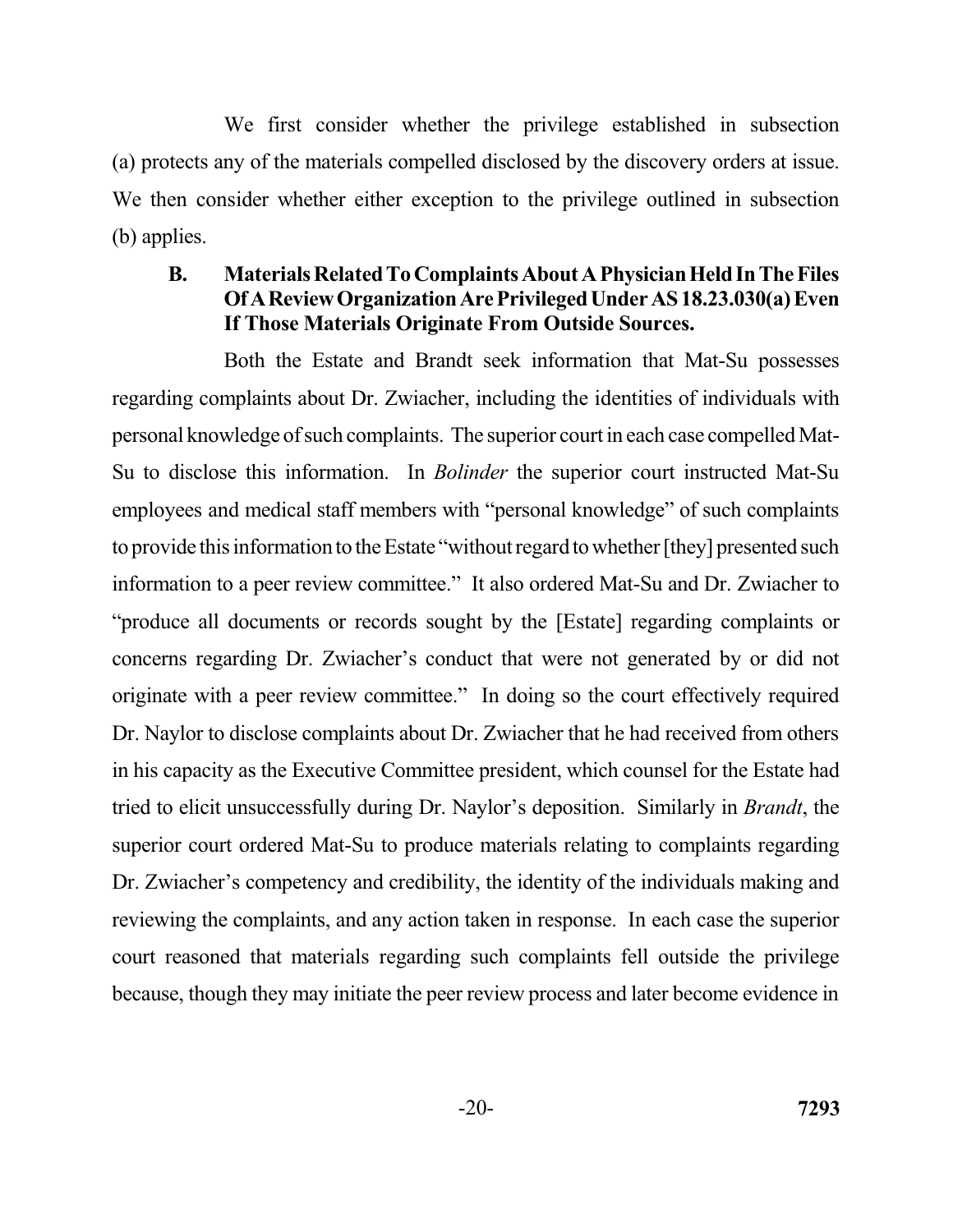We first consider whether the privilege established in subsection (a) protects any of the materials compelled disclosed by the discovery orders at issue. We then consider whether either exception to the privilege outlined in subsection (b) applies.

## **B.** Materials Related To Complaints About A Physician Held In The Files  **OfAReviewOrganizationArePrivilegedUnderAS18.23.030(a) Even If Those Materials Originate From Outside Sources.**

 Both the Estate and Brandt seek information that Mat-Su possesses regarding complaints about Dr. Zwiacher, including the identities of individuals with personal knowledge of such complaints. The superior court in each case compelled Mat- Su to disclose this information. In *Bolinder* the superior court instructed Mat-Su employees and medical staff members with "personal knowledge" of such complaints to provide this information to the Estate "without regard to whether [they] presented such "produce all documents or records sought by the [Estate] regarding complaints or concerns regarding Dr. Zwiacher's conduct that were not generated by or did not originate with a peer review committee." In doing so the court effectively required Dr. Naylor to disclose complaints about Dr. Zwiacher that he had received from others in his capacity as the Executive Committee president, which counsel for the Estate had tried to elicit unsuccessfully during Dr. Naylor's deposition. Similarly in *Brandt*, the superior court ordered Mat-Su to produce materials relating to complaints regarding reviewing the complaints, and any action taken in response. In each case the superior court reasoned that materials regarding such complaints fell outside the privilege because, though they may initiate the peer review process and later become evidence in information to a peer review committee." It also ordered Mat-Su and Dr. Zwiacher to Dr. Zwiacher's competency and credibility, the identity of the individuals making and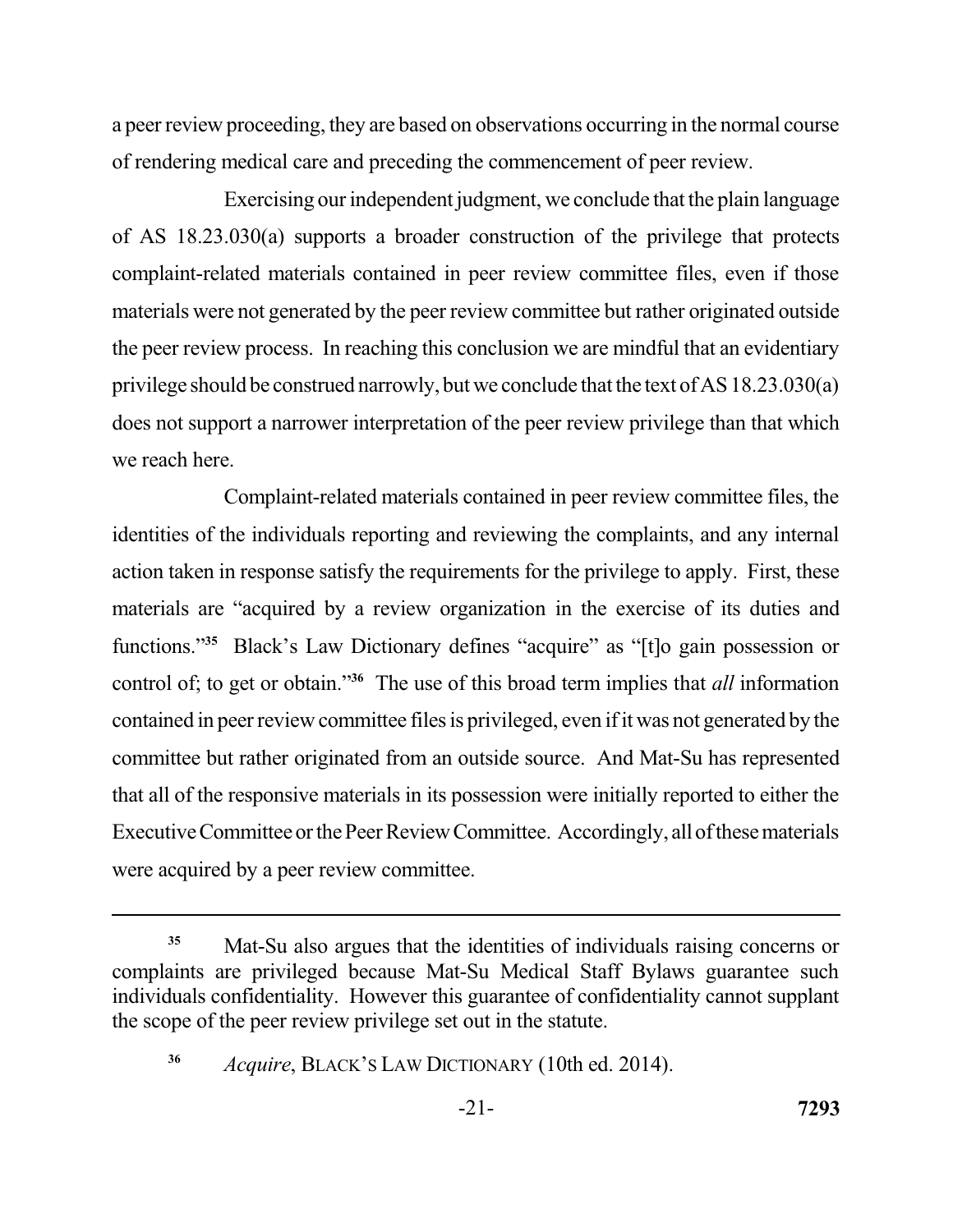a peer review proceeding, they are based on observations occurring in the normal course of rendering medical care and preceding the commencement of peer review.

 Exercising our independent judgment, we conclude that the plain language of AS 18.23.030(a) supports a broader construction of the privilege that protects complaint-related materials contained in peer review committee files, even if those materials were not generated by the peer review committee but rather originated outside the peer review process. In reaching this conclusion we are mindful that an evidentiary privilege should be construed narrowly, but we conclude that the text of AS 18.23.030(a) does not support a narrower interpretation of the peer review privilege than that which we reach here.

 Complaint-related materials contained in peer review committee files, the identities of the individuals reporting and reviewing the complaints, and any internal action taken in response satisfy the requirements for the privilege to apply. First, these materials are "acquired by a review organization in the exercise of its duties and functions."<sup>35</sup> Black's Law Dictionary defines "acquire" as "[t]o gain possession or control of; to get or obtain."<sup>36</sup> The use of this broad term implies that *all* information contained in peer review committee files is privileged, even if it was not generated by the committee but rather originated from an outside source. And Mat-Su has represented that all of the responsive materials in its possession were initially reported to either the Executive Committee or the Peer Review Committee. Accordingly, all of these materials were acquired by a peer review committee.

 **<sup>35</sup>**Mat-Su also argues that the identities of individuals raising concerns or complaints are privileged because Mat-Su Medical Staff Bylaws guarantee such individuals confidentiality. However this guarantee of confidentiality cannot supplant the scope of the peer review privilege set out in the statute.

 **<sup>36</sup>***Acquire*, BLACK'S LAW DICTIONARY (10th ed. 2014).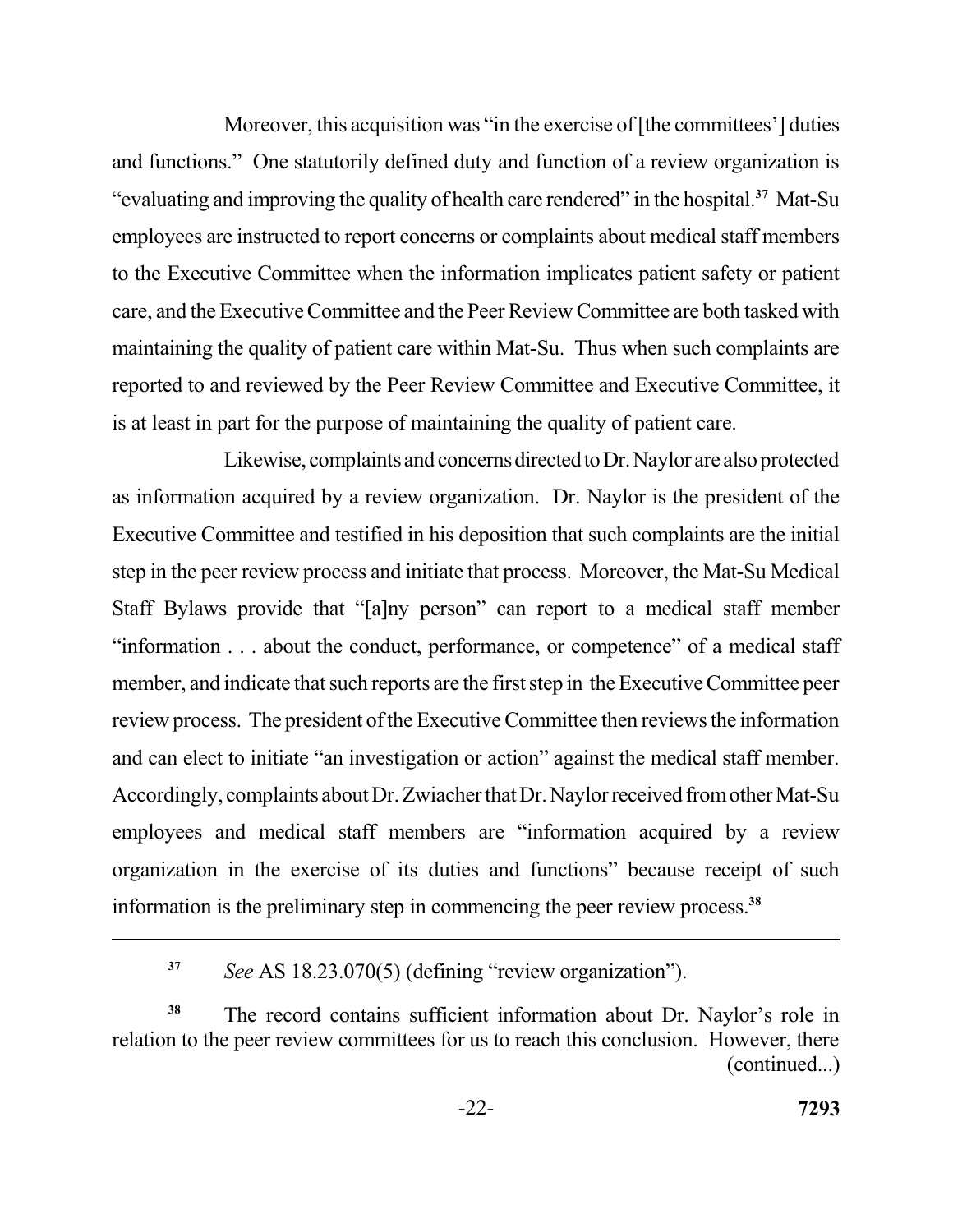Moreover, this acquisition was "in the exercise of [the committees'] duties and functions." One statutorily defined duty and function of a review organization is "evaluating and improving the quality of health care rendered" in the hospital.**<sup>37</sup>**Mat-Su employees are instructed to report concerns or complaints about medical staff members to the Executive Committee when the information implicates patient safety or patient care, and the Executive Committee and the Peer Review Committee are both tasked with maintaining the quality of patient care within Mat-Su. Thus when such complaints are is at least in part for the purpose of maintaining the quality of patient care. reported to and reviewed by the Peer Review Committee and Executive Committee, it

Likewise, complaints and concerns directed to Dr. Naylor are also protected as information acquired by a review organization. Dr. Naylor is the president of the Executive Committee and testified in his deposition that such complaints are the initial step in the peer review process and initiate that process. Moreover, the Mat-Su Medical Staff Bylaws provide that "[a]ny person" can report to a medical staff member "information . . . about the conduct, performance, or competence" of a medical staff member, and indicate that such reports are the first step in the Executive Committee peer review process. The president of the Executive Committee then reviews the information and can elect to initiate "an investigation or action" against the medical staff member. Accordingly, complaints about Dr. Zwiacher that Dr. Naylor received from other Mat-Su employees and medical staff members are "information acquired by a review organization in the exercise of its duties and functions" because receipt of such information is the preliminary step in commencing the peer review process.**<sup>38</sup>**

 **<sup>37</sup>***See* AS 18.23.070(5) (defining "review organization").

 **<sup>38</sup>**The record contains sufficient information about Dr. Naylor's role in relation to the peer review committees for us to reach this conclusion. However, there (continued...)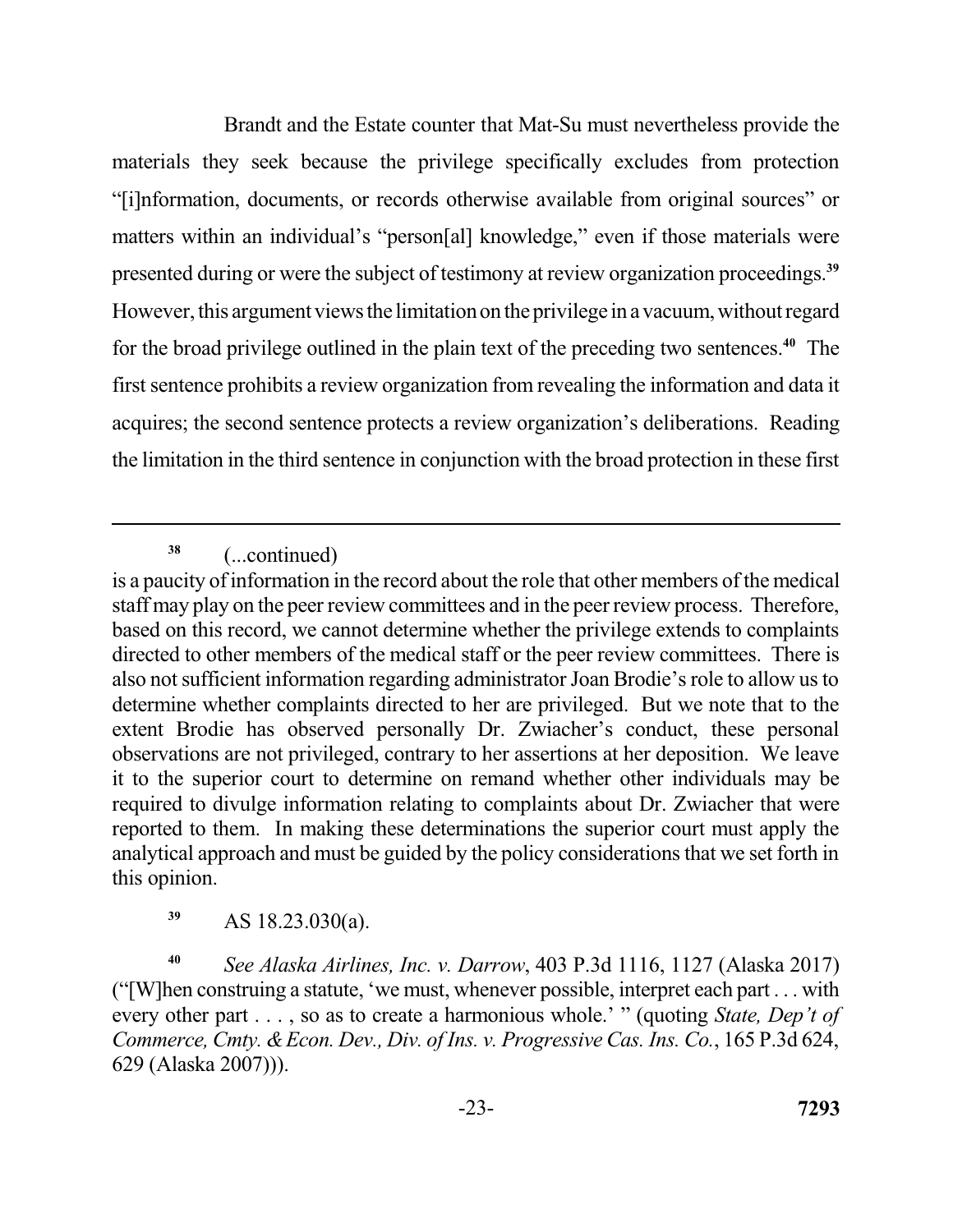Brandt and the Estate counter that Mat-Su must nevertheless provide the materials they seek because the privilege specifically excludes from protection "[i]nformation, documents, or records otherwise available from original sources" or matters within an individual's "person[al] knowledge," even if those materials were presented during or were the subject of testimony at review organization proceedings.**<sup>39</sup>** However, this argument views the limitation on the privilege in a vacuum, without regard for the broad privilege outlined in the plain text of the preceding two sentences.**<sup>40</sup>** The first sentence prohibits a review organization from revealing the information and data it the limitation in the third sentence in conjunction with the broad protection in these first acquires; the second sentence protects a review organization's deliberations. Reading

**<sup>38</sup>**(...continued)

**<sup>39</sup>**AS 18.23.030(a).

 **<sup>40</sup>***See Alaska Airlines, Inc. v. Darrow*, 403 P.3d 1116, 1127 (Alaska 2017) ("[W]hen construing a statute, 'we must, whenever possible, interpret each part . . . with every other part . . . , so as to create a harmonious whole.' " (quoting *State, Dep't of*  Commerce, Cmty. & Econ. Dev., Div. of Ins. v. Progressive Cas. Ins. Co., 165 P.3d 624, 629 (Alaska 2007))).

 is a paucity of information in the record about the role that other members of the medical staff may play on the peer review committees and in the peer review process. Therefore, based on this record, we cannot determine whether the privilege extends to complaints directed to other members of the medical staff or the peer review committees. There is also not sufficient information regarding administrator Joan Brodie's role to allow us to determine whether complaints directed to her are privileged. But we note that to the extent Brodie has observed personally Dr. Zwiacher's conduct, these personal observations are not privileged, contrary to her assertions at her deposition. We leave it to the superior court to determine on remand whether other individuals may be required to divulge information relating to complaints about Dr. Zwiacher that were reported to them. In making these determinations the superior court must apply the analytical approach and must be guided by the policy considerations that we set forth in this opinion.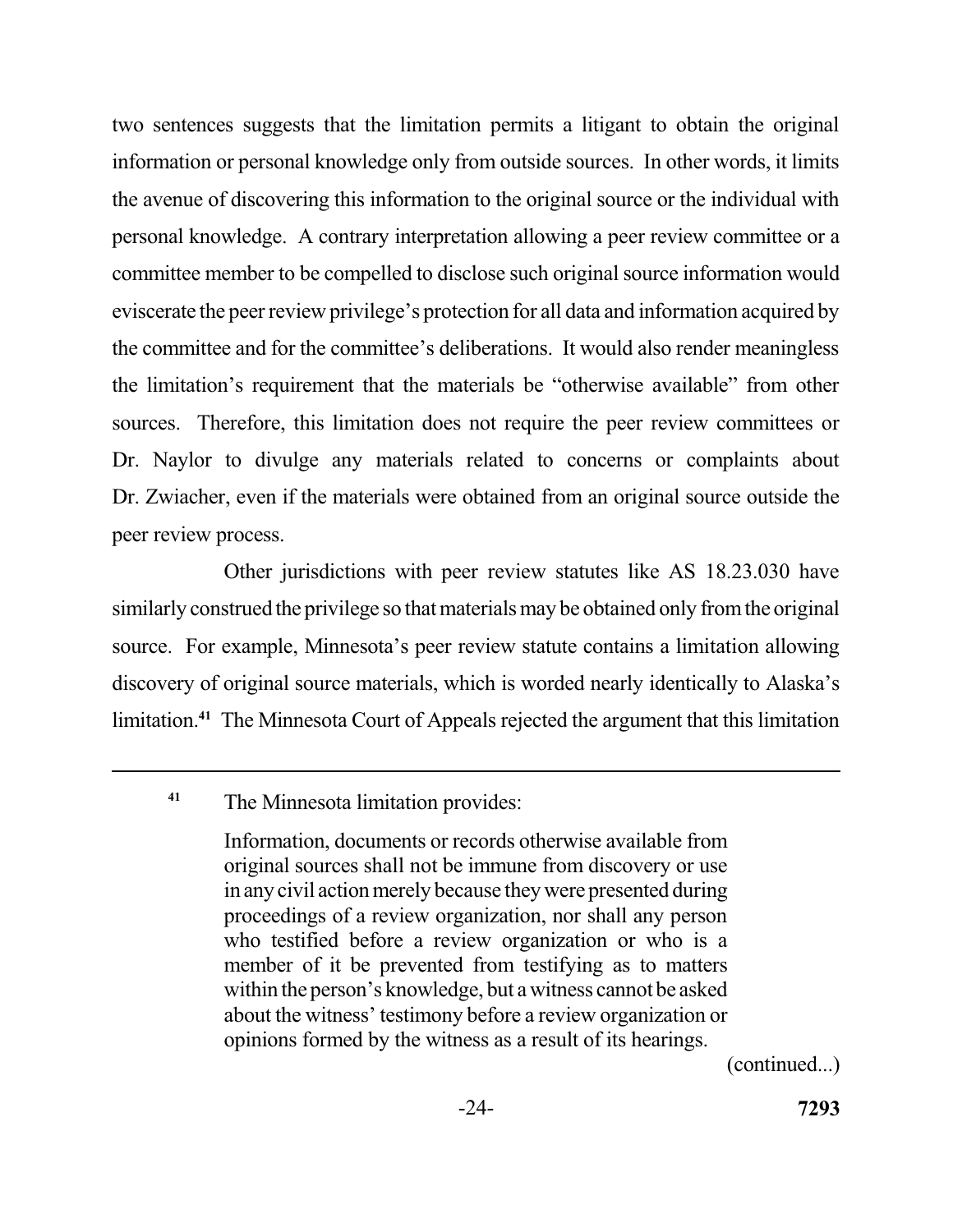two sentences suggests that the limitation permits a litigant to obtain the original information or personal knowledge only from outside sources. In other words, it limits the avenue of discovering this information to the original source or the individual with committee member to be compelled to disclose such original source information would eviscerate the peer review privilege's protection for all data and information acquired by the committee and for the committee's deliberations. It would also render meaningless the limitation's requirement that the materials be "otherwise available" from other sources. Therefore, this limitation does not require the peer review committees or Dr. Naylor to divulge any materials related to concerns or complaints about Dr. Zwiacher, even if the materials were obtained from an original source outside the peer review process. personal knowledge. A contrary interpretation allowing a peer review committee or a

 Other jurisdictions with peer review statutes like AS 18.23.030 have similarly construed the privilege so that materials may be obtained only from the original source. For example, Minnesota's peer review statute contains a limitation allowing discovery of original source materials, which is worded nearly identically to Alaska's limitation.**<sup>41</sup>**The Minnesota Court of Appeals rejected the argument that this limitation

 Information, documents or records otherwise available from in any civil action merely because they were presented during proceedings of a review organization, nor shall any person who testified before a review organization or who is a member of it be prevented from testifying as to matters within the person's knowledge, but a witness cannot be asked about the witness' testimony before a review organization or opinions formed by the witness as a result of its hearings. original sources shall not be immune from discovery or use

(continued...)

<sup>&</sup>lt;sup>41</sup> The Minnesota limitation provides: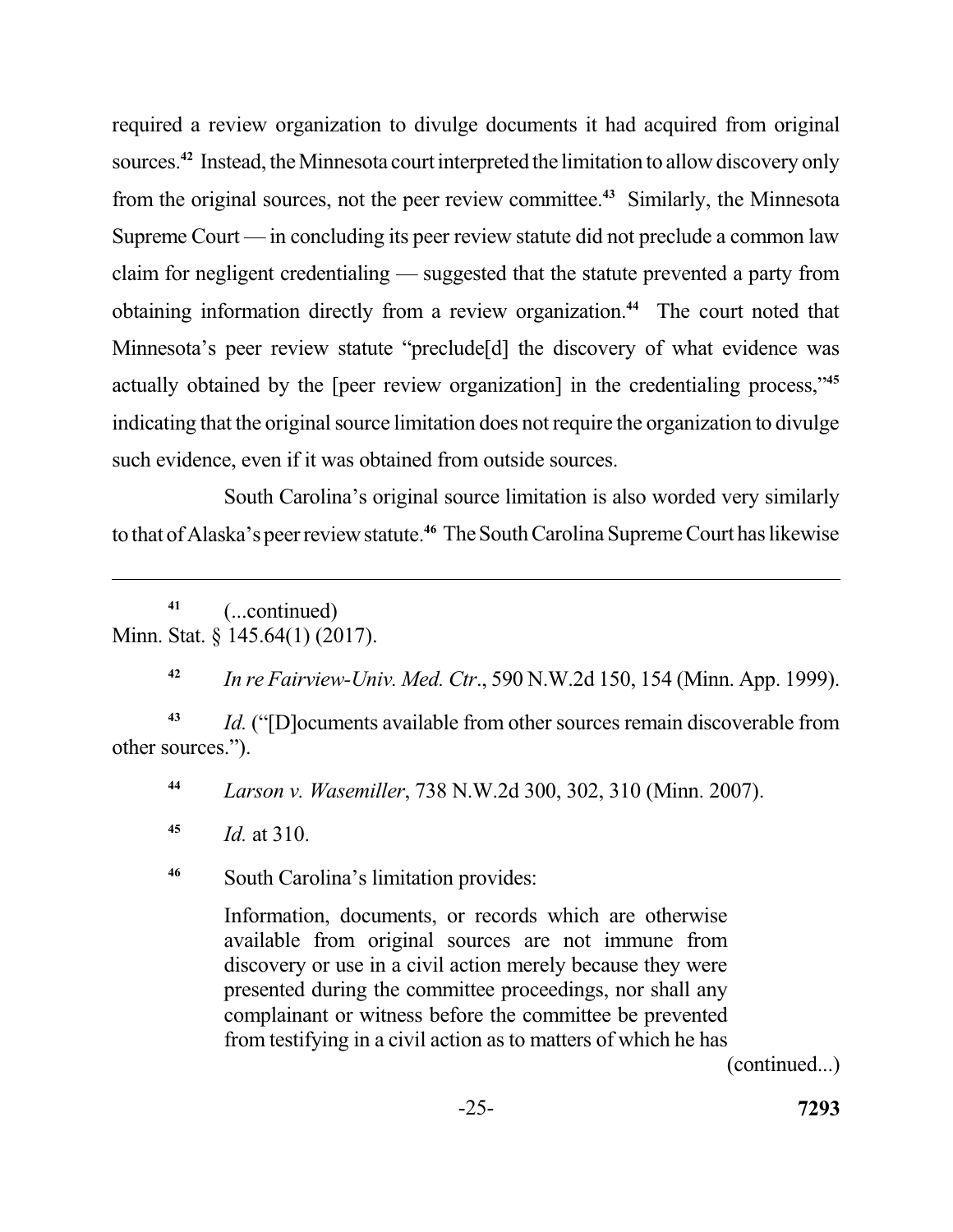required a review organization to divulge documents it had acquired from original sources.**<sup>42</sup>**Instead, the Minnesota court interpreted the limitation to allow discovery only from the original sources, not the peer review committee.<sup>43</sup> Similarly, the Minnesota Supreme Court — in concluding its peer review statute did not preclude a common law claim for negligent credentialing — suggested that the statute prevented a party from obtaining information directly from a review organization.**<sup>44</sup>**The court noted that Minnesota's peer review statute "preclude[d] the discovery of what evidence was actually obtained by the [peer review organization] in the credentialing process,"**<sup>45</sup>** indicating that the original source limitation does not require the organization to divulge such evidence, even if it was obtained from outside sources.

 South Carolina's original source limitation is also worded very similarly to that of Alaska's peer review statute.**<sup>46</sup>**The South Carolina Supreme Court has likewise

 Minn. Stat. § 145.64(1) (2017). **<sup>41</sup>**(...continued)

 **<sup>42</sup>***In re Fairview-Univ. Med. Ctr*., 590 N.W.2d 150, 154 (Minn. App. 1999).

 **<sup>43</sup>***Id.* ("[D]ocuments available from other sources remain discoverable from other sources.").

 **<sup>44</sup>***Larson v. Wasemiller*, 738 N.W.2d 300, 302, 310 (Minn. 2007).

**<sup>45</sup>***Id.* at 310.

<sup>46</sup> South Carolina's limitation provides:

 Information, documents, or records which are otherwise available from original sources are not immune from discovery or use in a civil action merely because they were presented during the committee proceedings, nor shall any complainant or witness before the committee be prevented from testifying in a civil action as to matters of which he has

(continued...)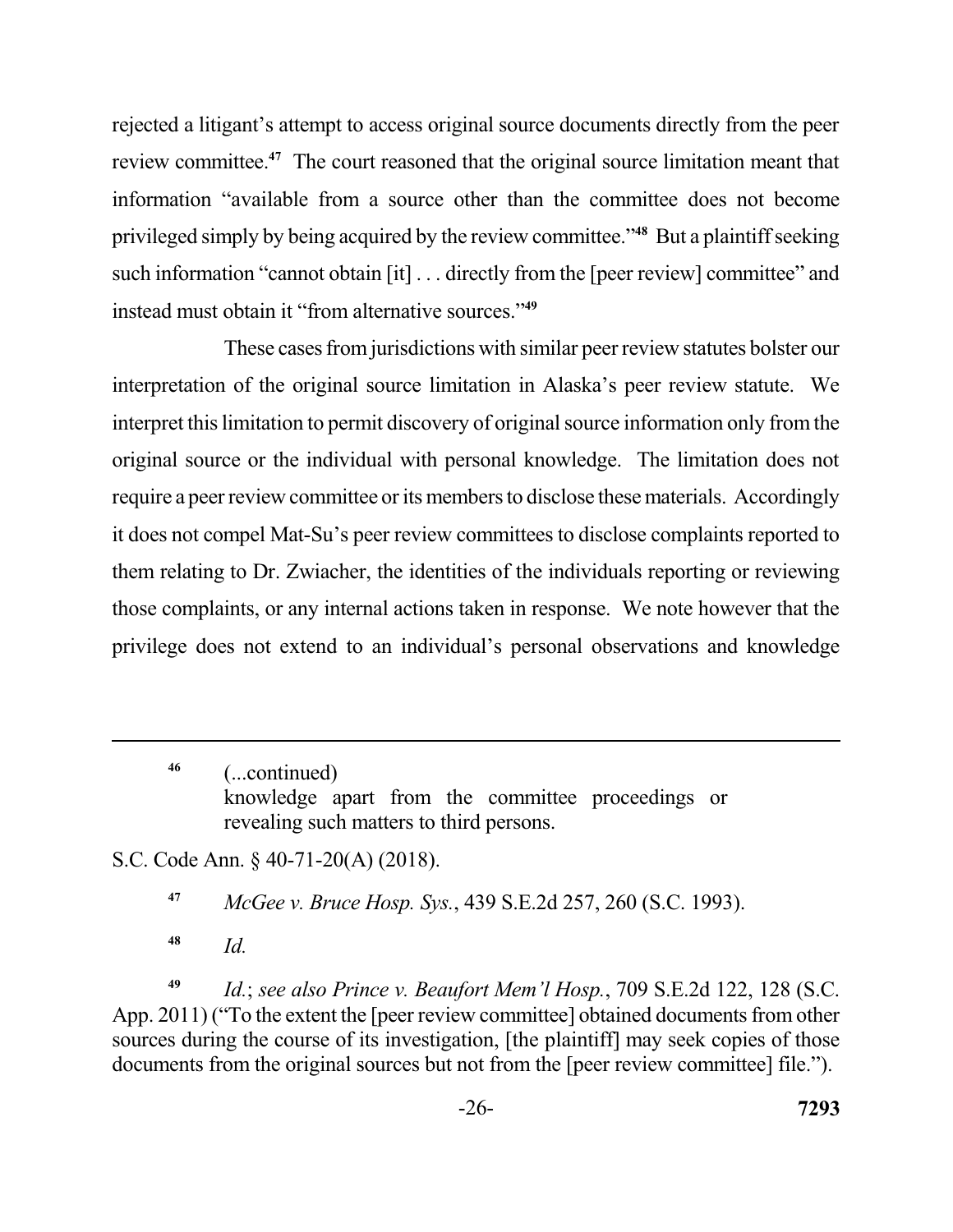rejected a litigant's attempt to access original source documents directly from the peer review committee.**<sup>47</sup>**The court reasoned that the original source limitation meant that information "available from a source other than the committee does not become privileged simply by being acquired by the review committee."**<sup>48</sup>**But a plaintiff seeking such information "cannot obtain [it] . . . directly from the [peer review] committee" and instead must obtain it "from alternative sources."**<sup>49</sup>**

 These cases from jurisdictions with similar peer review statutes bolster our interpretation of the original source limitation in Alaska's peer review statute. We interpret this limitation to permit discovery of original source information only from the original source or the individual with personal knowledge. The limitation does not require a peer review committee or its members to disclose these materials. Accordingly it does not compel Mat-Su's peer review committees to disclose complaints reported to them relating to Dr. Zwiacher, the identities of the individuals reporting or reviewing privilege does not extend to an individual's personal observations and knowledge those complaints, or any internal actions taken in response. We note however that the

 knowledge apart from the committee proceedings or revealing such matters to third persons. **46** (...continued)

S.C. Code Ann. § 40-71-20(A) (2018).

 **<sup>47</sup>***McGee v. Bruce Hosp. Sys.*, 439 S.E.2d 257, 260 (S.C. 1993).

**<sup>48</sup>***Id.* 

 **<sup>49</sup>***Id.*; *see also Prince v. Beaufort Mem'l Hosp.*, 709 S.E.2d 122, 128 (S.C. App. 2011) ("To the extent the [peer review committee] obtained documents from other sources during the course of its investigation, [the plaintiff] may seek copies of those documents from the original sources but not from the [peer review committee] file.").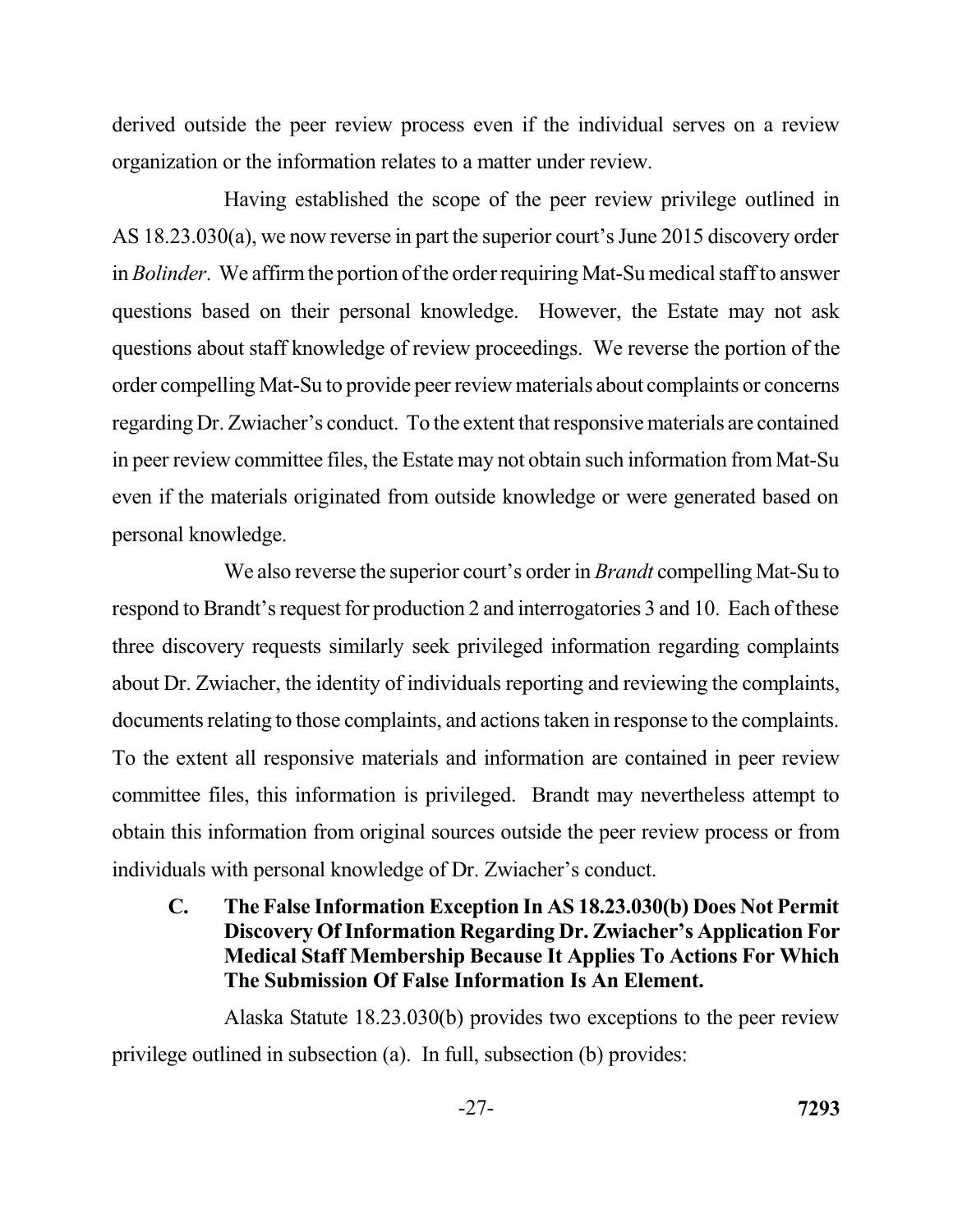derived outside the peer review process even if the individual serves on a review organization or the information relates to a matter under review.

 Having established the scope of the peer review privilege outlined in AS 18.23.030(a), we now reverse in part the superior court's June 2015 discovery order in *Bolinder*. We affirm the portion of the order requiring Mat-Su medical staff to answer questions based on their personal knowledge. However, the Estate may not ask questions about staff knowledge of review proceedings. We reverse the portion of the order compelling Mat-Su to provide peer review materials about complaints or concerns regarding Dr. Zwiacher's conduct. To the extent that responsive materials are contained in peer review committee files, the Estate may not obtain such information from Mat-Su even if the materials originated from outside knowledge or were generated based on personal knowledge.

 We also reverse the superior court's order in *Brandt* compelling Mat-Su to respond to Brandt's request for production 2 and interrogatories 3 and 10. Each of these three discovery requests similarly seek privileged information regarding complaints about Dr. Zwiacher, the identity of individuals reporting and reviewing the complaints, documents relating to those complaints, and actions taken in response to the complaints. To the extent all responsive materials and information are contained in peer review committee files, this information is privileged. Brandt may nevertheless attempt to obtain this information from original sources outside the peer review process or from individuals with personal knowledge of Dr. Zwiacher's conduct.

## **C. The False Information Exception In AS 18.23.030(b) Does Not Permit Discovery Of Information Regarding Dr. Zwiacher's Application For Medical Staff Membership Because It Applies To Actions For Which The Submission Of False Information Is An Element.**

 Alaska Statute 18.23.030(b) provides two exceptions to the peer review privilege outlined in subsection (a). In full, subsection (b) provides: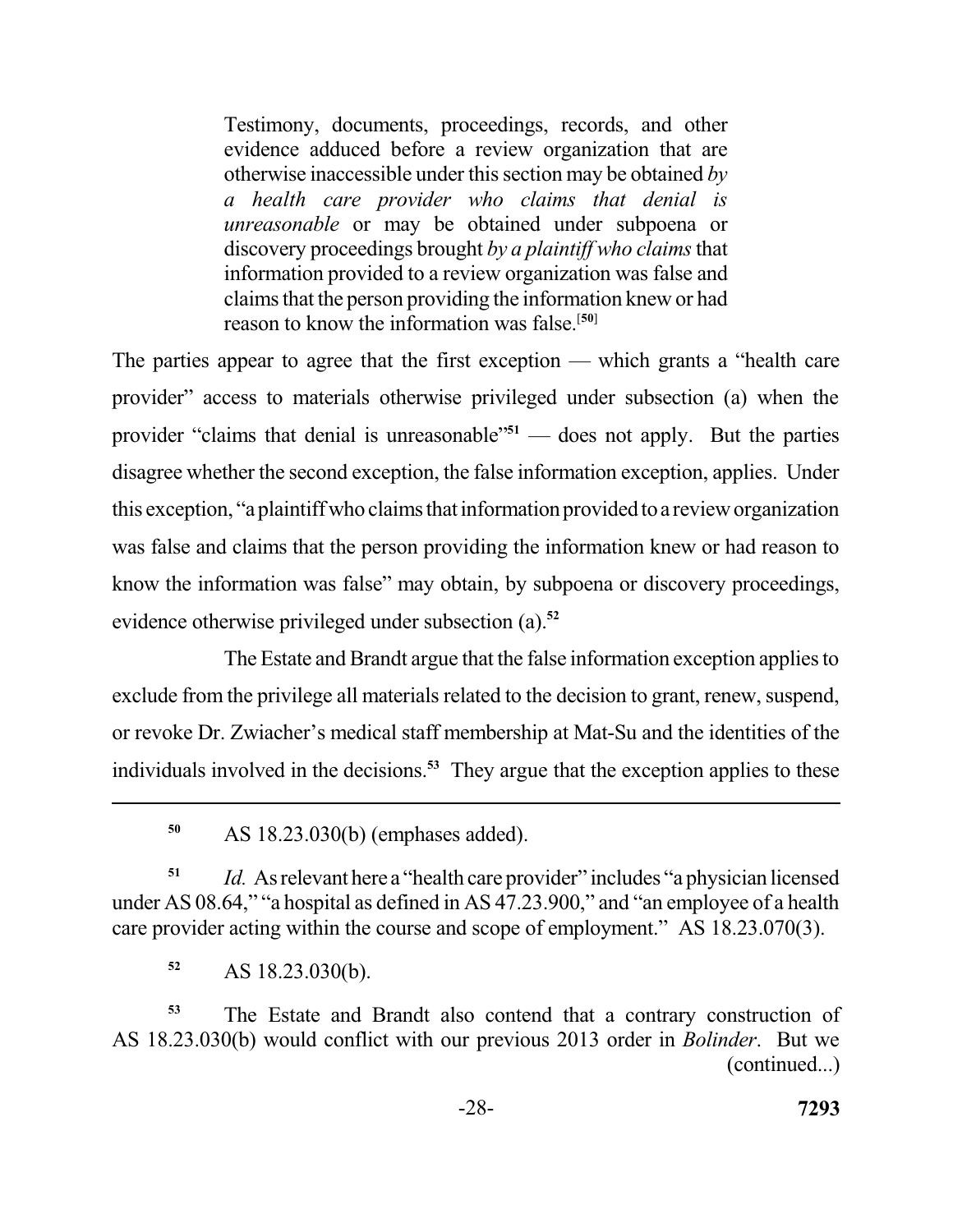Testimony, documents, proceedings, records, and other evidence adduced before a review organization that are otherwise inaccessible under this section may be obtained *by a health care provider who claims that denial is unreasonable* or may be obtained under subpoena or discovery proceedings brought *by a plaintiff who claims* that information provided to a review organization was false and claims that the person providing the information knew or had reason to know the information was false.[**50**]

 The parties appear to agree that the first exception — which grants a "health care provider" access to materials otherwise privileged under subsection (a) when the provider "claims that denial is unreasonable"**<sup>51</sup>**— does not apply. But the parties disagree whether the second exception, the false information exception, applies. Under this exception, "a plaintiff who claims that information provided to a review organization was false and claims that the person providing the information knew or had reason to know the information was false" may obtain, by subpoena or discovery proceedings, evidence otherwise privileged under subsection (a).**<sup>52</sup>**

 The Estate and Brandt argue that the false information exception applies to exclude from the privilege all materials related to the decision to grant, renew, suspend, or revoke Dr. Zwiacher's medical staff membership at Mat-Su and the identities of the individuals involved in the decisions.**<sup>53</sup>** They argue that the exception applies to these

 **<sup>51</sup>***Id.* As relevant here a "health care provider" includes "a physician licensed under AS 08.64," "a hospital as defined in AS 47.23.900," and "an employee of a health care provider acting within the course and scope of employment." AS 18.23.070(3).

**<sup>52</sup>**AS 18.23.030(b).

 **<sup>53</sup>**The Estate and Brandt also contend that a contrary construction of AS 18.23.030(b) would conflict with our previous 2013 order in *Bolinder*. But we (continued...)

 **<sup>50</sup>**AS 18.23.030(b) (emphases added).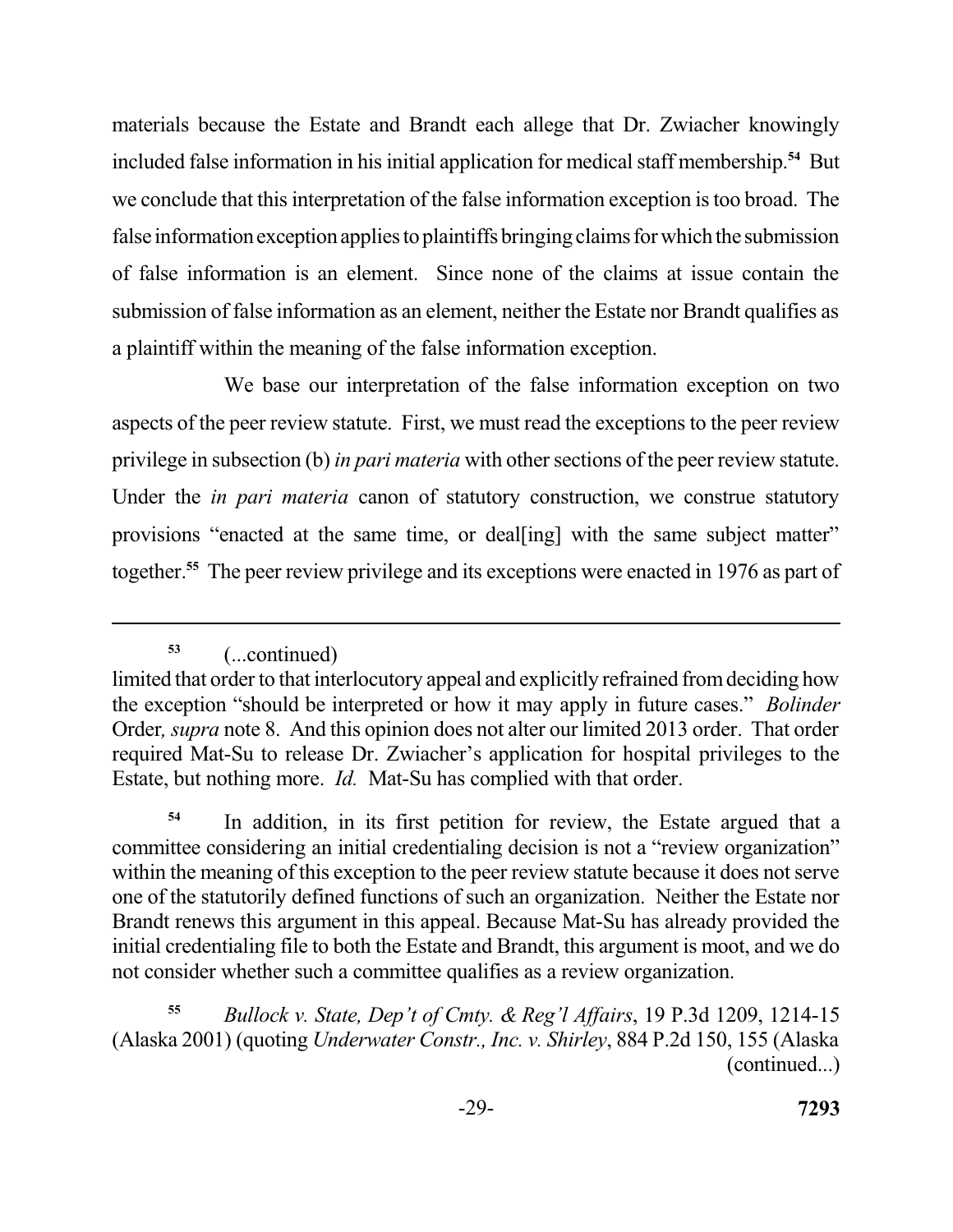materials because the Estate and Brandt each allege that Dr. Zwiacher knowingly included false information in his initial application for medical staff membership.<sup>54</sup> But we conclude that this interpretation of the false information exception is too broad. The false information exception applies to plaintiffs bringing claims for which the submission of false information is an element. Since none of the claims at issue contain the submission of false information as an element, neither the Estate nor Brandt qualifies as a plaintiff within the meaning of the false information exception.

 We base our interpretation of the false information exception on two aspects of the peer review statute. First, we must read the exceptions to the peer review privilege in subsection (b) *in pari materia* with other sections of the peer review statute. Under the *in pari materia* canon of statutory construction, we construe statutory provisions "enacted at the same time, or deal[ing] with the same subject matter" together.**<sup>55</sup>**The peer review privilege and its exceptions were enacted in 1976 as part of

**<sup>53</sup>**(...continued)

<sup>54</sup> In addition, in its first petition for review, the Estate argued that a committee considering an initial credentialing decision is not a "review organization" within the meaning of this exception to the peer review statute because it does not serve one of the statutorily defined functions of such an organization. Neither the Estate nor Brandt renews this argument in this appeal. Because Mat-Su has already provided the initial credentialing file to both the Estate and Brandt, this argument is moot, and we do not consider whether such a committee qualifies as a review organization.

 **<sup>55</sup>***Bullock v. State, Dep't of Cmty. & Reg'l Affairs*, 19 P.3d 1209, 1214-15 (Alaska 2001) (quoting *Underwater Constr., Inc. v. Shirley*, 884 P.2d 150, 155 (Alaska (continued...)

 limited that order to that interlocutory appeal and explicitly refrained from deciding how the exception "should be interpreted or how it may apply in future cases." *Bolinder*  Order*, supra* note 8. And this opinion does not alter our limited 2013 order. That order required Mat-Su to release Dr. Zwiacher's application for hospital privileges to the Estate, but nothing more. *Id.* Mat-Su has complied with that order.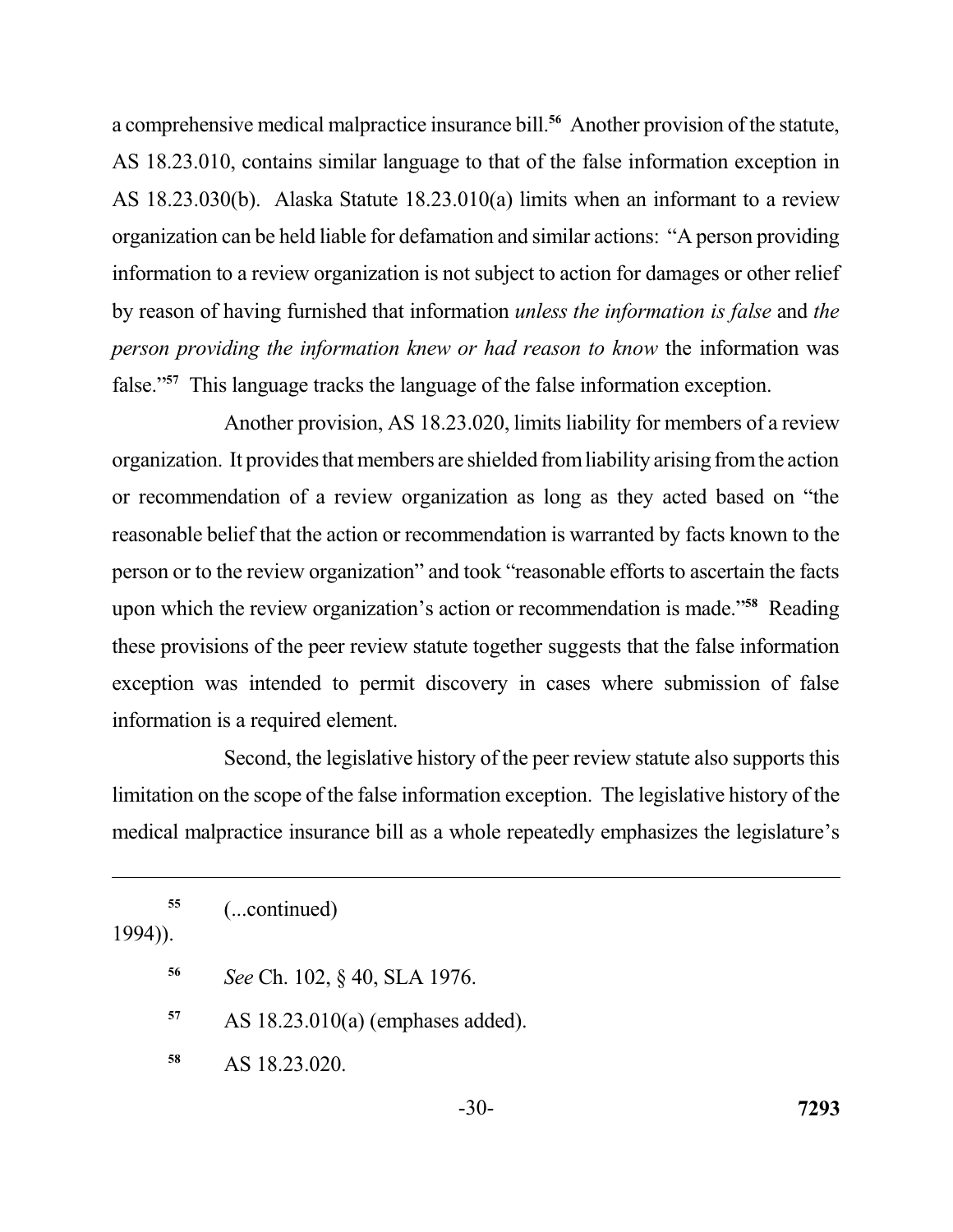a comprehensive medical malpractice insurance bill.<sup>56</sup> Another provision of the statute, AS 18.23.010, contains similar language to that of the false information exception in AS 18.23.030(b). Alaska Statute 18.23.010(a) limits when an informant to a review organization can be held liable for defamation and similar actions: "A person providing information to a review organization is not subject to action for damages or other relief by reason of having furnished that information *unless the information is false* and *the person providing the information knew or had reason to know* the information was false."**<sup>57</sup>**This language tracks the language of the false information exception.

 Another provision, AS 18.23.020, limits liability for members of a review organization. It provides that members are shielded fromliability arising fromthe action or recommendation of a review organization as long as they acted based on "the reasonable belief that the action or recommendation is warranted by facts known to the person or to the review organization" and took "reasonable efforts to ascertain the facts exception was intended to permit discovery in cases where submission of false information is a required element. upon which the review organization's action or recommendation is made."**<sup>58</sup>** Reading these provisions of the peer review statute together suggests that the false information

 Second, the legislative history of the peer review statute also supports this limitation on the scope of the false information exception. The legislative history of the medical malpractice insurance bill as a whole repeatedly emphasizes the legislature's

1994)).

- 
- **<sup>56</sup>***See* Ch. 102, § 40, SLA 1976.
- **<sup>57</sup>**AS 18.23.010(a) (emphases added).
- **<sup>58</sup>**AS 18.23.020.

**<sup>55</sup>**(...continued)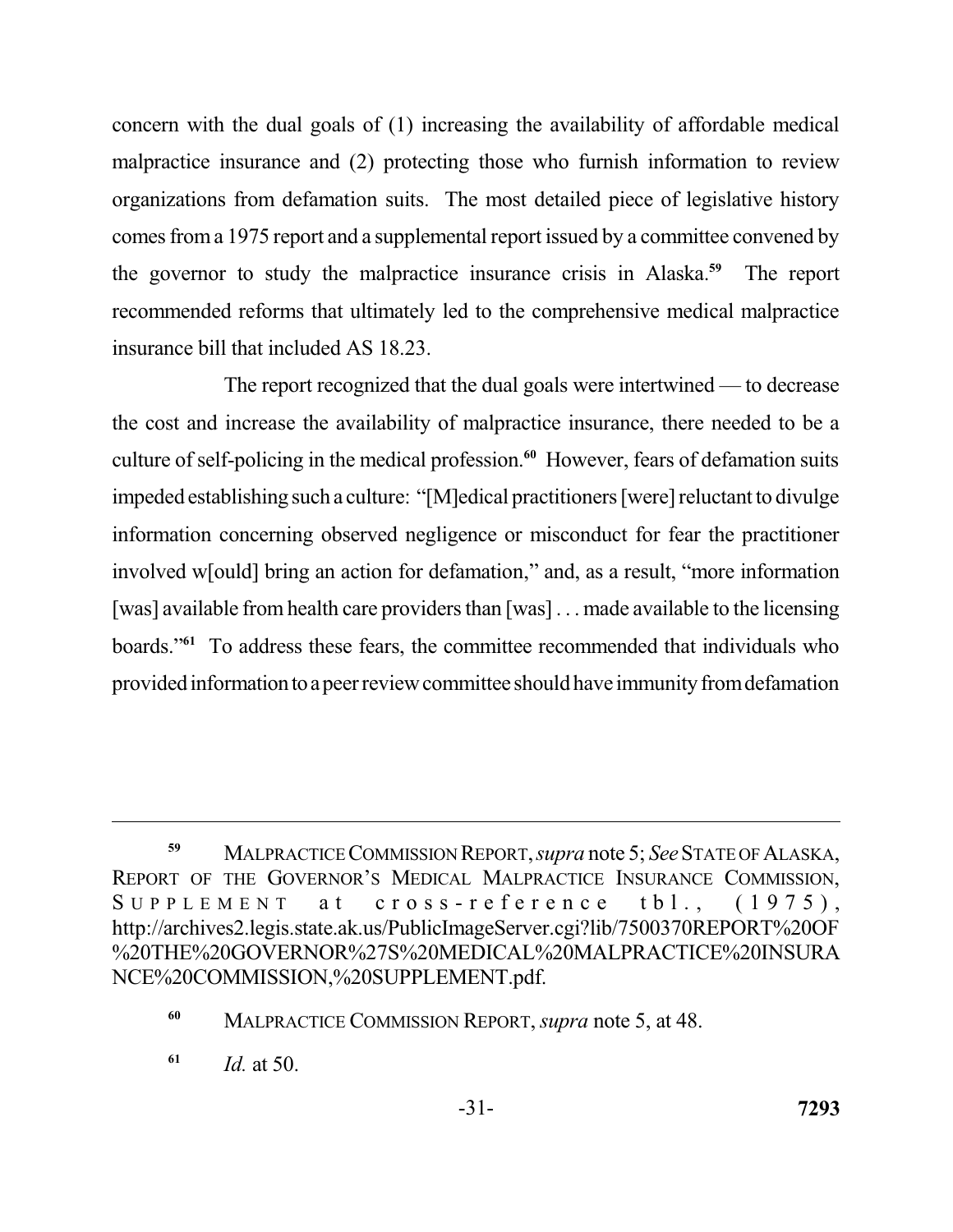concern with the dual goals of (1) increasing the availability of affordable medical malpractice insurance and (2) protecting those who furnish information to review organizations from defamation suits. The most detailed piece of legislative history comes from a 1975 report and a supplemental report issued by a committee convened by the governor to study the malpractice insurance crisis in Alaska.<sup>59</sup> The report recommended reforms that ultimately led to the comprehensive medical malpractice insurance bill that included AS 18.23.

 The report recognized that the dual goals were intertwined — to decrease the cost and increase the availability of malpractice insurance, there needed to be a culture of self-policing in the medical profession.**<sup>60</sup>**However, fears of defamation suits impeded establishing such a culture: "[M]edical practitioners [were] reluctant to divulge information concerning observed negligence or misconduct for fear the practitioner involved w[ould] bring an action for defamation," and, as a result, "more information [was] available from health care providers than [was] . . . made available to the licensing boards."**<sup>61</sup>**To address these fears, the committee recommended that individuals who provided information to a peer review committee should have immunity from defamation

 **<sup>59</sup>**MALPRACTICE COMMISSION REPORT, *supra* note 5; *See* STATE OF ALASKA, REPORT OF THE GOVERNOR'S MEDICAL MALPRACTICE INSURANCE COMMISSION,  $S$  U P P L E M E N T a t c r o s s - r e f e r e n c e t b  $1.$ ,  $(1975)$ , http://archives2.legis.state.ak.us/PublicImageServer.cgi?lib/7500370REPORT%20OF %20THE%20GOVERNOR%27S%20MEDICAL%20MALPRACTICE%20INSURA NCE%20COMMISSION,%20SUPPLEMENT.pdf.

 **<sup>60</sup>**MALPRACTICE COMMISSION REPORT, *supra* note 5, at 48.

 **<sup>61</sup>***Id.* at 50.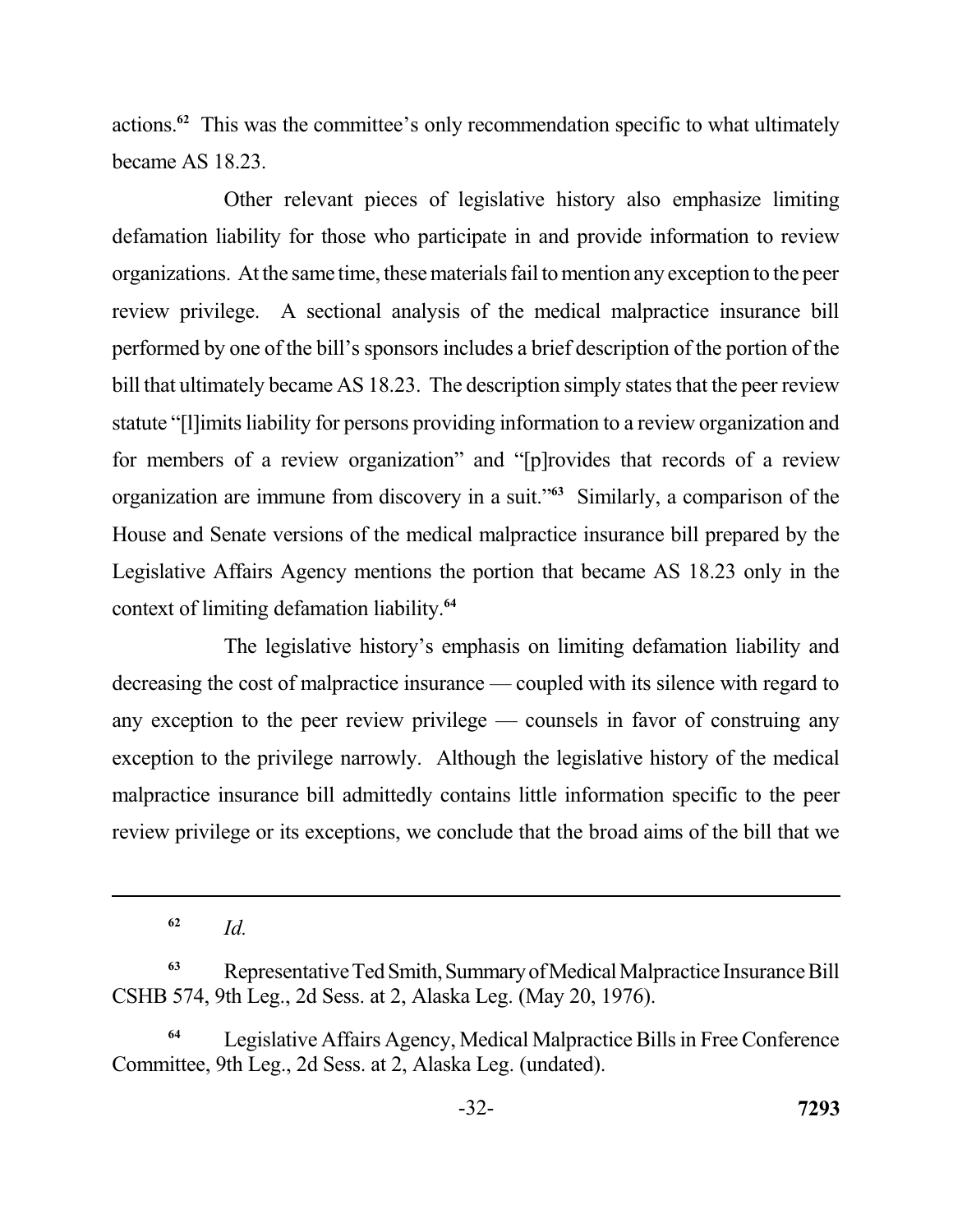actions.**<sup>62</sup>**This was the committee's only recommendation specific to what ultimately became AS 18.23.

 Other relevant pieces of legislative history also emphasize limiting defamation liability for those who participate in and provide information to review organizations. At the same time, these materials fail to mention any exception to the peer review privilege. A sectional analysis of the medical malpractice insurance bill performed by one of the bill's sponsors includes a brief description of the portion of the bill that ultimately became AS 18.23. The description simply states that the peer review statute "[l]imits liability for persons providing information to a review organization and for members of a review organization" and "[p]rovides that records of a review organization are immune from discovery in a suit."<sup>63</sup> Similarly, a comparison of the House and Senate versions of the medical malpractice insurance bill prepared by the Legislative Affairs Agency mentions the portion that became AS 18.23 only in the context of limiting defamation liability.**<sup>64</sup>**

 The legislative history's emphasis on limiting defamation liability and decreasing the cost of malpractice insurance — coupled with its silence with regard to any exception to the peer review privilege — counsels in favor of construing any exception to the privilege narrowly. Although the legislative history of the medical malpractice insurance bill admittedly contains little information specific to the peer review privilege or its exceptions, we conclude that the broad aims of the bill that we

**<sup>62</sup>***Id.* 

<sup>&</sup>lt;sup>63</sup>Representative Ted Smith, Summary of Medical Malpractice Insurance Bill CSHB 574, 9th Leg., 2d Sess. at 2, Alaska Leg. (May 20, 1976).

 **<sup>64</sup>**Legislative Affairs Agency, Medical Malpractice Bills in Free Conference Committee, 9th Leg., 2d Sess. at 2, Alaska Leg. (undated).